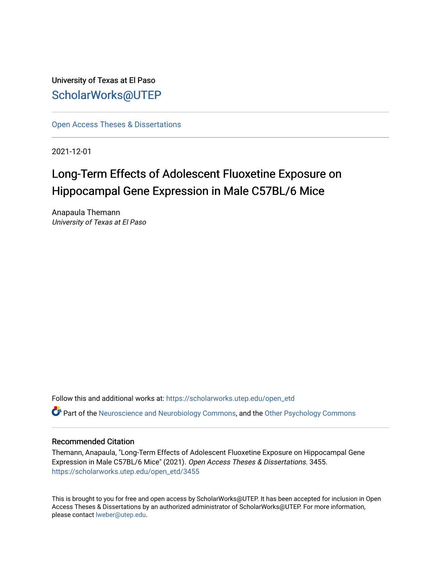University of Texas at El Paso [ScholarWorks@UTEP](https://scholarworks.utep.edu/)

[Open Access Theses & Dissertations](https://scholarworks.utep.edu/open_etd) 

2021-12-01

# Long-Term Effects of Adolescent Fluoxetine Exposure on Hippocampal Gene Expression in Male C57BL/6 Mice

Anapaula Themann University of Texas at El Paso

Follow this and additional works at: [https://scholarworks.utep.edu/open\\_etd](https://scholarworks.utep.edu/open_etd?utm_source=scholarworks.utep.edu%2Fopen_etd%2F3455&utm_medium=PDF&utm_campaign=PDFCoverPages)

Part of the [Neuroscience and Neurobiology Commons,](http://network.bepress.com/hgg/discipline/55?utm_source=scholarworks.utep.edu%2Fopen_etd%2F3455&utm_medium=PDF&utm_campaign=PDFCoverPages) and the [Other Psychology Commons](http://network.bepress.com/hgg/discipline/415?utm_source=scholarworks.utep.edu%2Fopen_etd%2F3455&utm_medium=PDF&utm_campaign=PDFCoverPages)

#### Recommended Citation

Themann, Anapaula, "Long-Term Effects of Adolescent Fluoxetine Exposure on Hippocampal Gene Expression in Male C57BL/6 Mice" (2021). Open Access Theses & Dissertations. 3455. [https://scholarworks.utep.edu/open\\_etd/3455](https://scholarworks.utep.edu/open_etd/3455?utm_source=scholarworks.utep.edu%2Fopen_etd%2F3455&utm_medium=PDF&utm_campaign=PDFCoverPages) 

This is brought to you for free and open access by ScholarWorks@UTEP. It has been accepted for inclusion in Open Access Theses & Dissertations by an authorized administrator of ScholarWorks@UTEP. For more information, please contact [lweber@utep.edu.](mailto:lweber@utep.edu)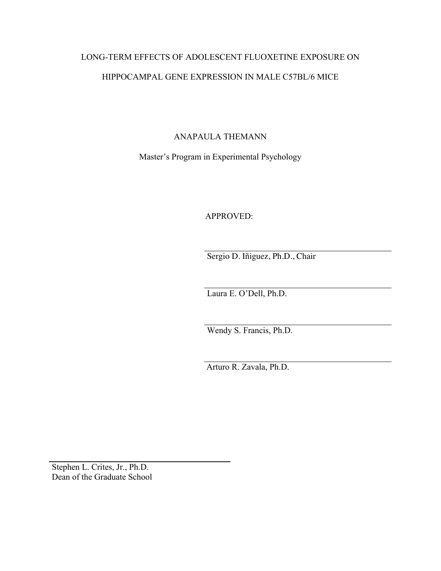# LONG-TERM EFFECTS OF ADOLESCENT FLUOXETINE EXPOSURE ON HIPPOCAMPAL GENE EXPRESSION IN MALE C57BL/6 MICE

ANAPAULA THEMANN

Master's Program in Experimental Psychology

APPROVED:

Sergio D. Iñiguez, Ph.D., Chair

Laura E. O'Dell, Ph.D.

Wendy S. Francis, Ph.D.

Arturo R. Zavala, Ph.D.

Stephen L. Crites, Jr., Ph.D. Dean of the Graduate School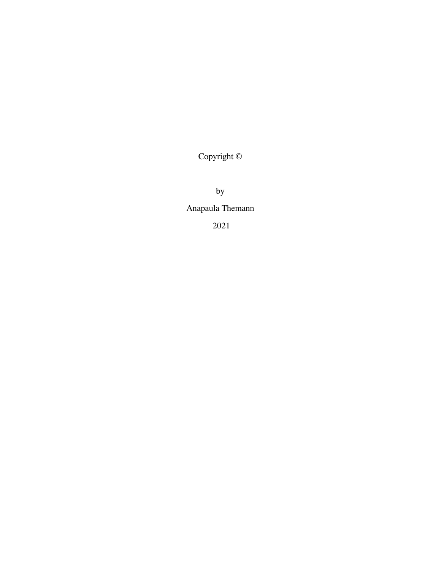Copyright ©

by

Anapaula Themann

2021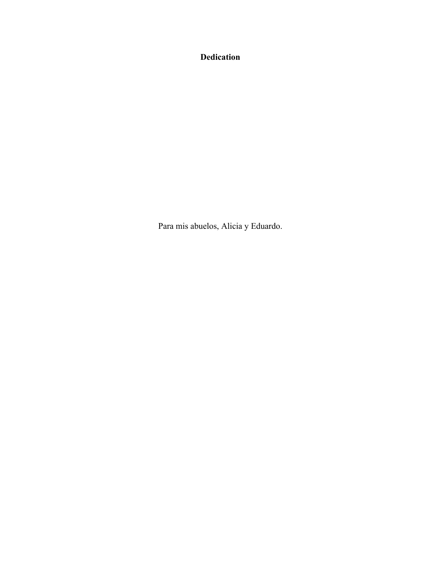**Dedication** 

Para mis abuelos, Alicia y Eduardo.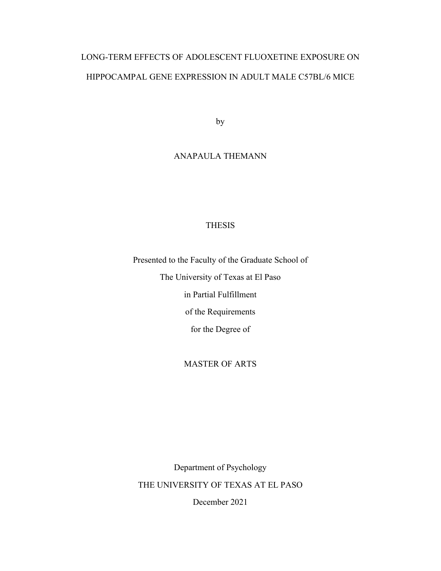# LONG-TERM EFFECTS OF ADOLESCENT FLUOXETINE EXPOSURE ON HIPPOCAMPAL GENE EXPRESSION IN ADULT MALE C57BL/6 MICE

by

## ANAPAULA THEMANN

## THESIS

Presented to the Faculty of the Graduate School of

The University of Texas at El Paso

in Partial Fulfillment

of the Requirements

for the Degree of

### MASTER OF ARTS

Department of Psychology THE UNIVERSITY OF TEXAS AT EL PASO December 2021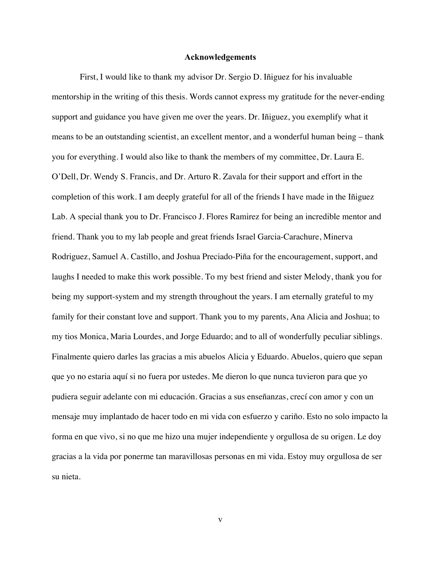#### **Acknowledgements**

First, I would like to thank my advisor Dr. Sergio D. Iñiguez for his invaluable mentorship in the writing of this thesis. Words cannot express my gratitude for the never-ending support and guidance you have given me over the years. Dr. Iñiguez, you exemplify what it means to be an outstanding scientist, an excellent mentor, and a wonderful human being – thank you for everything. I would also like to thank the members of my committee, Dr. Laura E. O'Dell, Dr. Wendy S. Francis, and Dr. Arturo R. Zavala for their support and effort in the completion of this work. I am deeply grateful for all of the friends I have made in the Iñiguez Lab. A special thank you to Dr. Francisco J. Flores Ramirez for being an incredible mentor and friend. Thank you to my lab people and great friends Israel Garcia-Carachure, Minerva Rodriguez, Samuel A. Castillo, and Joshua Preciado-Piña for the encouragement, support, and laughs I needed to make this work possible. To my best friend and sister Melody, thank you for being my support-system and my strength throughout the years. I am eternally grateful to my family for their constant love and support. Thank you to my parents, Ana Alicia and Joshua; to my tios Monica, Maria Lourdes, and Jorge Eduardo; and to all of wonderfully peculiar siblings. Finalmente quiero darles las gracias a mis abuelos Alicia y Eduardo. Abuelos, quiero que sepan que yo no estaria aquí si no fuera por ustedes. Me dieron lo que nunca tuvieron para que yo pudiera seguir adelante con mi educación. Gracias a sus enseñanzas, crecí con amor y con un mensaje muy implantado de hacer todo en mi vida con esfuerzo y cariño. Esto no solo impacto la forma en que vivo, si no que me hizo una mujer independiente y orgullosa de su origen. Le doy gracias a la vida por ponerme tan maravillosas personas en mi vida. Estoy muy orgullosa de ser su nieta.

v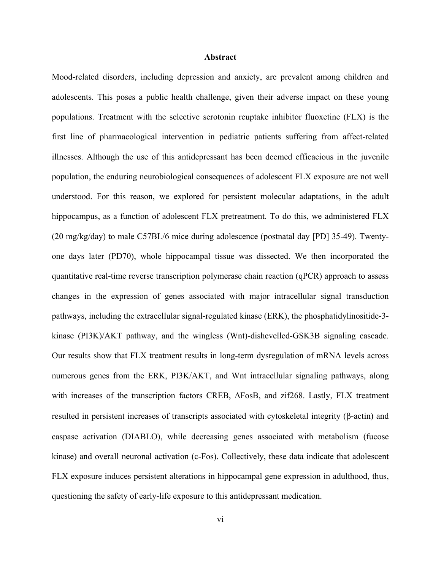#### **Abstract**

Mood-related disorders, including depression and anxiety, are prevalent among children and adolescents. This poses a public health challenge, given their adverse impact on these young populations. Treatment with the selective serotonin reuptake inhibitor fluoxetine (FLX) is the first line of pharmacological intervention in pediatric patients suffering from affect-related illnesses. Although the use of this antidepressant has been deemed efficacious in the juvenile population, the enduring neurobiological consequences of adolescent FLX exposure are not well understood. For this reason, we explored for persistent molecular adaptations, in the adult hippocampus, as a function of adolescent FLX pretreatment. To do this, we administered FLX (20 mg/kg/day) to male C57BL/6 mice during adolescence (postnatal day [PD] 35-49). Twentyone days later (PD70), whole hippocampal tissue was dissected. We then incorporated the quantitative real-time reverse transcription polymerase chain reaction (qPCR) approach to assess changes in the expression of genes associated with major intracellular signal transduction pathways, including the extracellular signal-regulated kinase (ERK), the phosphatidylinositide-3 kinase (PI3K)/AKT pathway, and the wingless (Wnt)-dishevelled-GSK3B signaling cascade. Our results show that FLX treatment results in long-term dysregulation of mRNA levels across numerous genes from the ERK, PI3K/AKT, and Wnt intracellular signaling pathways, along with increases of the transcription factors CREB, ΔFosB, and zif268. Lastly, FLX treatment resulted in persistent increases of transcripts associated with cytoskeletal integrity (β-actin) and caspase activation (DIABLO), while decreasing genes associated with metabolism (fucose kinase) and overall neuronal activation (c-Fos). Collectively, these data indicate that adolescent FLX exposure induces persistent alterations in hippocampal gene expression in adulthood, thus, questioning the safety of early-life exposure to this antidepressant medication.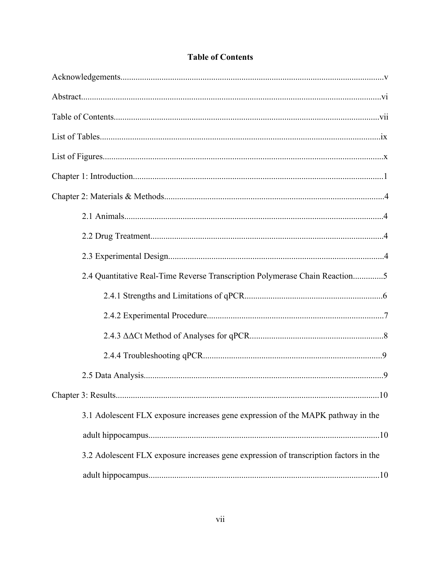| 2.4 Quantitative Real-Time Reverse Transcription Polymerase Chain Reaction5           |
|---------------------------------------------------------------------------------------|
|                                                                                       |
|                                                                                       |
|                                                                                       |
|                                                                                       |
|                                                                                       |
| 10                                                                                    |
| 3.1 Adolescent FLX exposure increases gene expression of the MAPK pathway in the      |
|                                                                                       |
| 3.2 Adolescent FLX exposure increases gene expression of transcription factors in the |
|                                                                                       |

## **Table of Contents**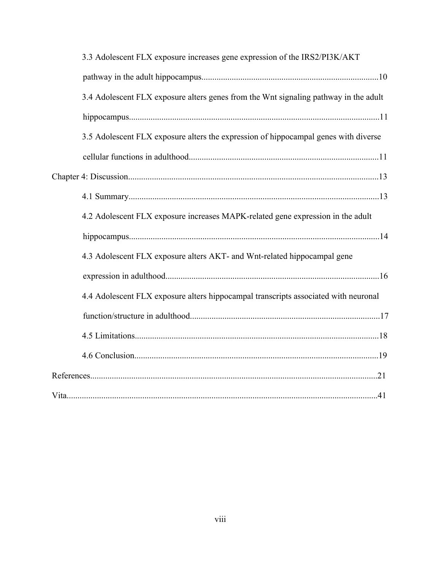| 3.3 Adolescent FLX exposure increases gene expression of the IRS2/PI3K/AKT           |
|--------------------------------------------------------------------------------------|
|                                                                                      |
| 3.4 Adolescent FLX exposure alters genes from the Wnt signaling pathway in the adult |
|                                                                                      |
| 3.5 Adolescent FLX exposure alters the expression of hippocampal genes with diverse  |
|                                                                                      |
|                                                                                      |
|                                                                                      |
| 4.2 Adolescent FLX exposure increases MAPK-related gene expression in the adult      |
|                                                                                      |
| 4.3 Adolescent FLX exposure alters AKT- and Wnt-related hippocampal gene             |
|                                                                                      |
| 4.4 Adolescent FLX exposure alters hippocampal transcripts associated with neuronal  |
|                                                                                      |
|                                                                                      |
|                                                                                      |
|                                                                                      |
|                                                                                      |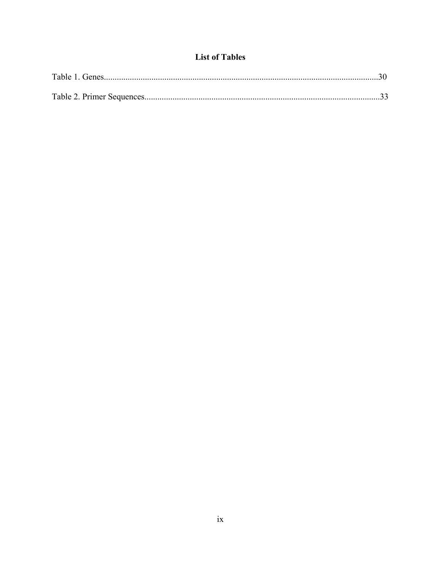## **List of Tables**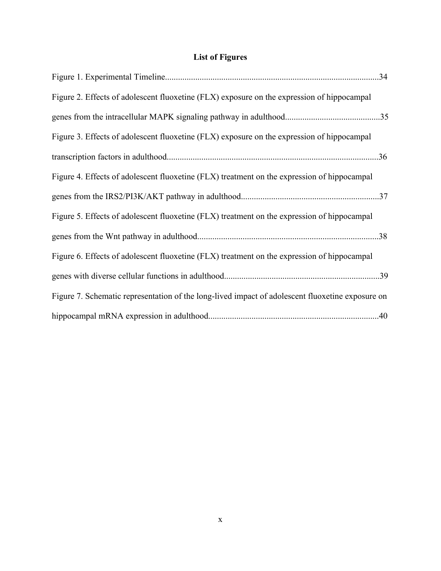## **List of Figures**

| Figure 2. Effects of adolescent fluoxetine (FLX) exposure on the expression of hippocampal       |  |
|--------------------------------------------------------------------------------------------------|--|
|                                                                                                  |  |
| Figure 3. Effects of adolescent fluoxetine (FLX) exposure on the expression of hippocampal       |  |
|                                                                                                  |  |
| Figure 4. Effects of adolescent fluoxetine (FLX) treatment on the expression of hippocampal      |  |
|                                                                                                  |  |
| Figure 5. Effects of adolescent fluoxetine (FLX) treatment on the expression of hippocampal      |  |
|                                                                                                  |  |
| Figure 6. Effects of adolescent fluoxetine (FLX) treatment on the expression of hippocampal      |  |
|                                                                                                  |  |
| Figure 7. Schematic representation of the long-lived impact of adolescent fluoxetine exposure on |  |
|                                                                                                  |  |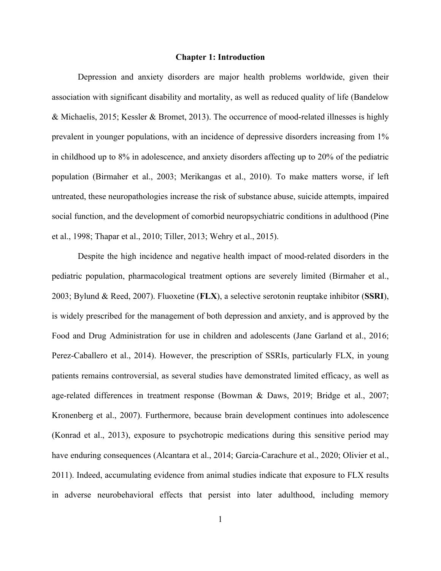#### **Chapter 1: Introduction**

Depression and anxiety disorders are major health problems worldwide, given their association with significant disability and mortality, as well as reduced quality of life (Bandelow & Michaelis, 2015; Kessler & Bromet, 2013). The occurrence of mood-related illnesses is highly prevalent in younger populations, with an incidence of depressive disorders increasing from 1% in childhood up to 8% in adolescence, and anxiety disorders affecting up to 20% of the pediatric population (Birmaher et al., 2003; Merikangas et al., 2010). To make matters worse, if left untreated, these neuropathologies increase the risk of substance abuse, suicide attempts, impaired social function, and the development of comorbid neuropsychiatric conditions in adulthood (Pine et al., 1998; Thapar et al., 2010; Tiller, 2013; Wehry et al., 2015).

Despite the high incidence and negative health impact of mood-related disorders in the pediatric population, pharmacological treatment options are severely limited (Birmaher et al., 2003; Bylund & Reed, 2007). Fluoxetine (**FLX**), a selective serotonin reuptake inhibitor (**SSRI**), is widely prescribed for the management of both depression and anxiety, and is approved by the Food and Drug Administration for use in children and adolescents (Jane Garland et al., 2016; Perez-Caballero et al., 2014). However, the prescription of SSRIs, particularly FLX, in young patients remains controversial, as several studies have demonstrated limited efficacy, as well as age-related differences in treatment response (Bowman & Daws, 2019; Bridge et al., 2007; Kronenberg et al., 2007). Furthermore, because brain development continues into adolescence (Konrad et al., 2013), exposure to psychotropic medications during this sensitive period may have enduring consequences (Alcantara et al., 2014; Garcia-Carachure et al., 2020; Olivier et al., 2011). Indeed, accumulating evidence from animal studies indicate that exposure to FLX results in adverse neurobehavioral effects that persist into later adulthood, including memory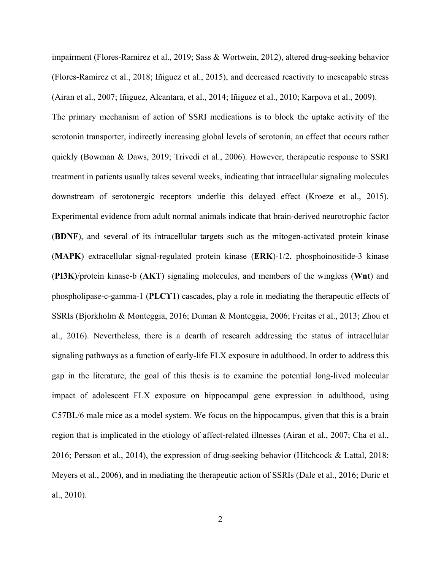impairment (Flores-Ramirez et al., 2019; Sass & Wortwein, 2012), altered drug-seeking behavior (Flores-Ramirez et al., 2018; Iñiguez et al., 2015), and decreased reactivity to inescapable stress (Airan et al., 2007; Iñiguez, Alcantara, et al., 2014; Iñiguez et al., 2010; Karpova et al., 2009). The primary mechanism of action of SSRI medications is to block the uptake activity of the

serotonin transporter, indirectly increasing global levels of serotonin, an effect that occurs rather quickly (Bowman & Daws, 2019; Trivedi et al., 2006). However, therapeutic response to SSRI treatment in patients usually takes several weeks, indicating that intracellular signaling molecules downstream of serotonergic receptors underlie this delayed effect (Kroeze et al., 2015). Experimental evidence from adult normal animals indicate that brain-derived neurotrophic factor (**BDNF**), and several of its intracellular targets such as the mitogen-activated protein kinase (**MAPK**) extracellular signal-regulated protein kinase (**ERK**)-1/2, phosphoinositide-3 kinase (**PI3K**)/protein kinase-b (**AKT**) signaling molecules, and members of the wingless (**Wnt**) and phospholipase-c-gamma-1 (**PLCϒ1**) cascades, play a role in mediating the therapeutic effects of SSRIs (Bjorkholm & Monteggia, 2016; Duman & Monteggia, 2006; Freitas et al., 2013; Zhou et al., 2016). Nevertheless, there is a dearth of research addressing the status of intracellular signaling pathways as a function of early-life FLX exposure in adulthood. In order to address this gap in the literature, the goal of this thesis is to examine the potential long-lived molecular impact of adolescent FLX exposure on hippocampal gene expression in adulthood, using C57BL/6 male mice as a model system. We focus on the hippocampus, given that this is a brain region that is implicated in the etiology of affect-related illnesses (Airan et al., 2007; Cha et al., 2016; Persson et al., 2014), the expression of drug-seeking behavior (Hitchcock & Lattal, 2018; Meyers et al., 2006), and in mediating the therapeutic action of SSRIs (Dale et al., 2016; Duric et al., 2010).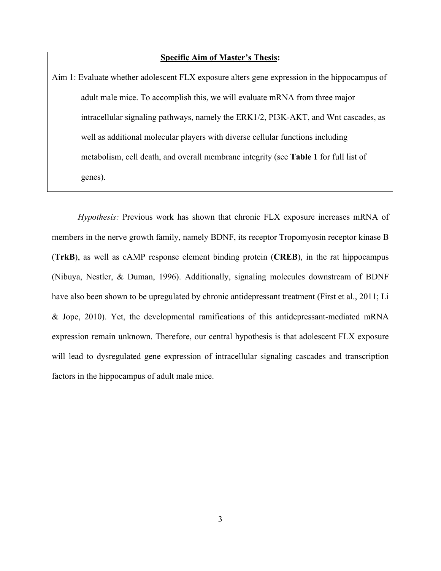#### **Specific Aim of Master's Thesis:**

Aim 1: Evaluate whether adolescent FLX exposure alters gene expression in the hippocampus of adult male mice. To accomplish this, we will evaluate mRNA from three major intracellular signaling pathways, namely the ERK1/2, PI3K-AKT, and Wnt cascades, as well as additional molecular players with diverse cellular functions including metabolism, cell death, and overall membrane integrity (see **Table 1** for full list of genes).

*Hypothesis:* Previous work has shown that chronic FLX exposure increases mRNA of members in the nerve growth family, namely BDNF, its receptor Tropomyosin receptor kinase B (**TrkB**), as well as cAMP response element binding protein (**CREB**), in the rat hippocampus (Nibuya, Nestler, & Duman, 1996). Additionally, signaling molecules downstream of BDNF have also been shown to be upregulated by chronic antidepressant treatment (First et al., 2011; Li & Jope, 2010). Yet, the developmental ramifications of this antidepressant-mediated mRNA expression remain unknown. Therefore, our central hypothesis is that adolescent FLX exposure will lead to dysregulated gene expression of intracellular signaling cascades and transcription factors in the hippocampus of adult male mice.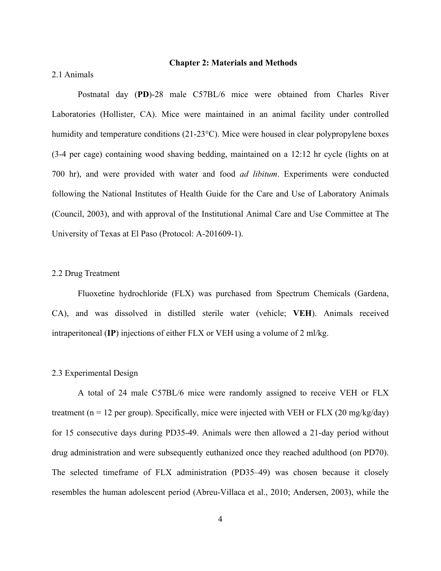#### **Chapter 2: Materials and Methods**

#### 2.1 Animals

Postnatal day (**PD**)-28 male C57BL/6 mice were obtained from Charles River Laboratories (Hollister, CA). Mice were maintained in an animal facility under controlled humidity and temperature conditions (21-23°C). Mice were housed in clear polypropylene boxes (3-4 per cage) containing wood shaving bedding, maintained on a 12:12 hr cycle (lights on at 700 hr), and were provided with water and food *ad libitum*. Experiments were conducted following the National Institutes of Health Guide for the Care and Use of Laboratory Animals (Council, 2003), and with approval of the Institutional Animal Care and Use Committee at The University of Texas at El Paso (Protocol: A-201609-1).

#### 2.2 Drug Treatment

Fluoxetine hydrochloride (FLX) was purchased from Spectrum Chemicals (Gardena, CA), and was dissolved in distilled sterile water (vehicle; **VEH**). Animals received intraperitoneal (**IP**) injections of either FLX or VEH using a volume of 2 ml/kg.

#### 2.3 Experimental Design

A total of 24 male C57BL/6 mice were randomly assigned to receive VEH or FLX treatment ( $n = 12$  per group). Specifically, mice were injected with VEH or FLX (20 mg/kg/day) for 15 consecutive days during PD35-49. Animals were then allowed a 21-day period without drug administration and were subsequently euthanized once they reached adulthood (on PD70). The selected timeframe of FLX administration (PD35–49) was chosen because it closely resembles the human adolescent period (Abreu-Villaca et al., 2010; Andersen, 2003), while the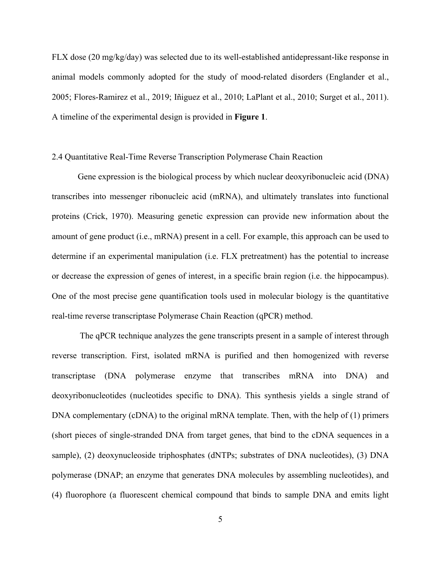FLX dose (20 mg/kg/day) was selected due to its well-established antidepressant-like response in animal models commonly adopted for the study of mood-related disorders (Englander et al., 2005; Flores-Ramirez et al., 2019; Iñiguez et al., 2010; LaPlant et al., 2010; Surget et al., 2011). A timeline of the experimental design is provided in **Figure 1**.

#### 2.4 Quantitative Real-Time Reverse Transcription Polymerase Chain Reaction

Gene expression is the biological process by which nuclear deoxyribonucleic acid (DNA) transcribes into messenger ribonucleic acid (mRNA), and ultimately translates into functional proteins (Crick, 1970). Measuring genetic expression can provide new information about the amount of gene product (i.e., mRNA) present in a cell. For example, this approach can be used to determine if an experimental manipulation (i.e. FLX pretreatment) has the potential to increase or decrease the expression of genes of interest, in a specific brain region (i.e. the hippocampus). One of the most precise gene quantification tools used in molecular biology is the quantitative real-time reverse transcriptase Polymerase Chain Reaction (qPCR) method.

The qPCR technique analyzes the gene transcripts present in a sample of interest through reverse transcription. First, isolated mRNA is purified and then homogenized with reverse transcriptase (DNA polymerase enzyme that transcribes mRNA into DNA) and deoxyribonucleotides (nucleotides specific to DNA). This synthesis yields a single strand of DNA complementary (cDNA) to the original mRNA template. Then, with the help of (1) primers (short pieces of single-stranded DNA from target genes, that bind to the cDNA sequences in a sample), (2) deoxynucleoside triphosphates (dNTPs; substrates of DNA nucleotides), (3) DNA polymerase (DNAP; an enzyme that generates DNA molecules by assembling nucleotides), and (4) fluorophore (a fluorescent chemical compound that binds to sample DNA and emits light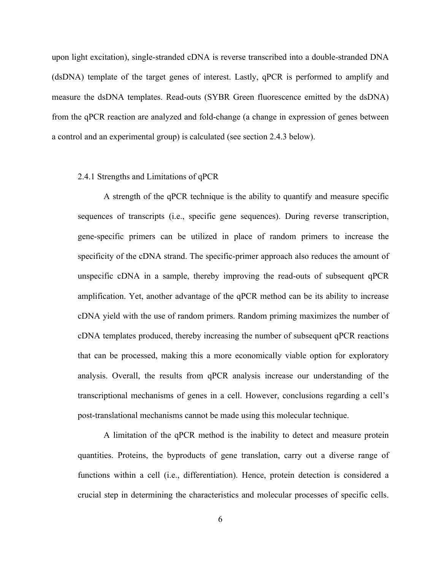upon light excitation), single-stranded cDNA is reverse transcribed into a double-stranded DNA (dsDNA) template of the target genes of interest. Lastly, qPCR is performed to amplify and measure the dsDNA templates. Read-outs (SYBR Green fluorescence emitted by the dsDNA) from the qPCR reaction are analyzed and fold-change (a change in expression of genes between a control and an experimental group) is calculated (see section 2.4.3 below).

#### 2.4.1 Strengths and Limitations of qPCR

A strength of the qPCR technique is the ability to quantify and measure specific sequences of transcripts (i.e., specific gene sequences). During reverse transcription, gene-specific primers can be utilized in place of random primers to increase the specificity of the cDNA strand. The specific-primer approach also reduces the amount of unspecific cDNA in a sample, thereby improving the read-outs of subsequent qPCR amplification. Yet, another advantage of the qPCR method can be its ability to increase cDNA yield with the use of random primers. Random priming maximizes the number of cDNA templates produced, thereby increasing the number of subsequent qPCR reactions that can be processed, making this a more economically viable option for exploratory analysis. Overall, the results from qPCR analysis increase our understanding of the transcriptional mechanisms of genes in a cell. However, conclusions regarding a cell's post-translational mechanisms cannot be made using this molecular technique.

A limitation of the qPCR method is the inability to detect and measure protein quantities. Proteins, the byproducts of gene translation, carry out a diverse range of functions within a cell (i.e., differentiation). Hence, protein detection is considered a crucial step in determining the characteristics and molecular processes of specific cells.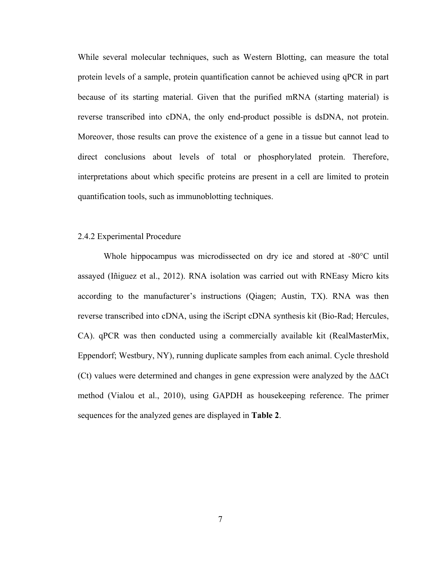While several molecular techniques, such as Western Blotting, can measure the total protein levels of a sample, protein quantification cannot be achieved using qPCR in part because of its starting material. Given that the purified mRNA (starting material) is reverse transcribed into cDNA, the only end-product possible is dsDNA, not protein. Moreover, those results can prove the existence of a gene in a tissue but cannot lead to direct conclusions about levels of total or phosphorylated protein. Therefore, interpretations about which specific proteins are present in a cell are limited to protein quantification tools, such as immunoblotting techniques.

#### 2.4.2 Experimental Procedure

Whole hippocampus was microdissected on dry ice and stored at -80°C until assayed (Iñiguez et al., 2012). RNA isolation was carried out with RNEasy Micro kits according to the manufacturer's instructions (Qiagen; Austin, TX). RNA was then reverse transcribed into cDNA, using the iScript cDNA synthesis kit (Bio-Rad; Hercules, CA). qPCR was then conducted using a commercially available kit (RealMasterMix, Eppendorf; Westbury, NY), running duplicate samples from each animal. Cycle threshold (Ct) values were determined and changes in gene expression were analyzed by the  $\Delta\Delta$ Ct method (Vialou et al., 2010), using GAPDH as housekeeping reference. The primer sequences for the analyzed genes are displayed in **Table 2**.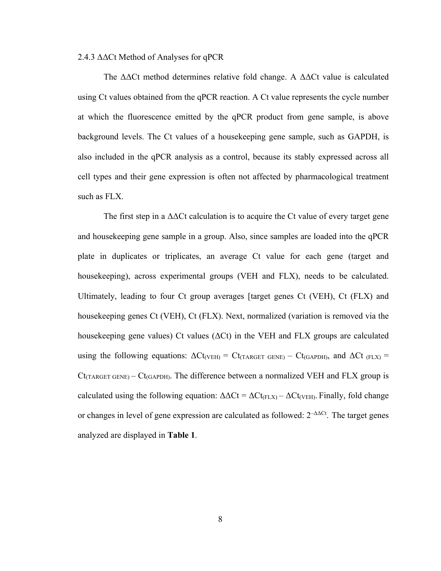#### 2.4.3 ΔΔCt Method of Analyses for qPCR

The  $\Delta\Delta$ Ct method determines relative fold change. A  $\Delta\Delta$ Ct value is calculated using Ct values obtained from the qPCR reaction. A Ct value represents the cycle number at which the fluorescence emitted by the qPCR product from gene sample, is above background levels. The Ct values of a housekeeping gene sample, such as GAPDH, is also included in the qPCR analysis as a control, because its stably expressed across all cell types and their gene expression is often not affected by pharmacological treatment such as FLX.

The first step in a  $\Delta\Delta$ Ct calculation is to acquire the Ct value of every target gene and housekeeping gene sample in a group. Also, since samples are loaded into the qPCR plate in duplicates or triplicates, an average Ct value for each gene (target and housekeeping), across experimental groups (VEH and FLX), needs to be calculated. Ultimately, leading to four Ct group averages [target genes Ct (VEH), Ct (FLX) and housekeeping genes Ct (VEH), Ct (FLX). Next, normalized (variation is removed via the house keeping gene values) Ct values ( $\Delta$ Ct) in the VEH and FLX groups are calculated using the following equations:  $\Delta C t_{(VEH)} = C t_{(TARGE GENE)} - C t_{(GAPDH)}$ , and  $\Delta C t_{(FLX)} =$  $Ct_{(TARGET GENE)} - Ct_{(GAPDH)}$ . The difference between a normalized VEH and FLX group is calculated using the following equation:  $\Delta \Delta \text{C}t = \Delta \text{C}t_{\text{F}LX} - \Delta \text{C}t_{\text{V}EH}$ . Finally, fold change or changes in level of gene expression are calculated as followed:  $2^{-\Delta\Delta Ct}$ . The target genes analyzed are displayed in **Table 1**.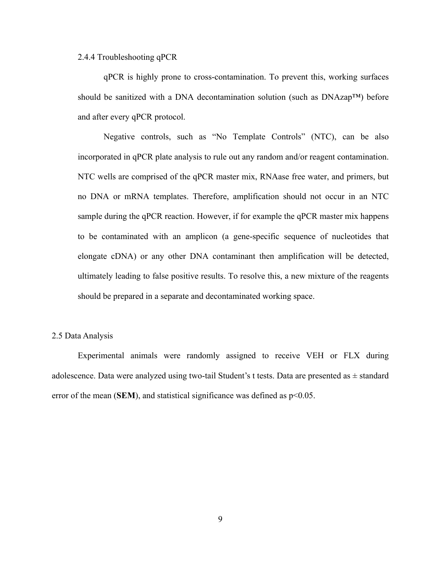2.4.4 Troubleshooting qPCR

qPCR is highly prone to cross-contamination. To prevent this, working surfaces should be sanitized with a DNA decontamination solution (such as  $DNAzap^{TM}$ ) before and after every qPCR protocol.

Negative controls, such as "No Template Controls" (NTC), can be also incorporated in qPCR plate analysis to rule out any random and/or reagent contamination. NTC wells are comprised of the qPCR master mix, RNAase free water, and primers, but no DNA or mRNA templates. Therefore, amplification should not occur in an NTC sample during the qPCR reaction. However, if for example the qPCR master mix happens to be contaminated with an amplicon (a gene-specific sequence of nucleotides that elongate cDNA) or any other DNA contaminant then amplification will be detected, ultimately leading to false positive results. To resolve this, a new mixture of the reagents should be prepared in a separate and decontaminated working space.

#### 2.5 Data Analysis

Experimental animals were randomly assigned to receive VEH or FLX during adolescence. Data were analyzed using two-tail Student's t tests. Data are presented as  $\pm$  standard error of the mean (**SEM**), and statistical significance was defined as  $p<0.05$ .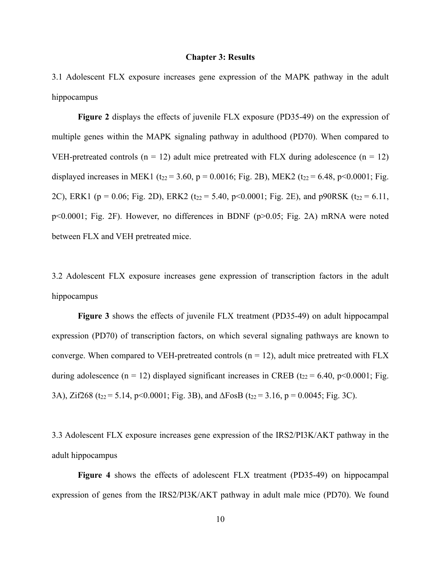#### **Chapter 3: Results**

3.1 Adolescent FLX exposure increases gene expression of the MAPK pathway in the adult hippocampus

**Figure 2** displays the effects of juvenile FLX exposure (PD35-49) on the expression of multiple genes within the MAPK signaling pathway in adulthood (PD70). When compared to VEH-pretreated controls ( $n = 12$ ) adult mice pretreated with FLX during adolescence ( $n = 12$ ) displayed increases in MEK1 (t<sub>22</sub> = 3.60, p = 0.0016; Fig. 2B), MEK2 (t<sub>22</sub> = 6.48, p<0.0001; Fig. 2C), ERK1 (p = 0.06; Fig. 2D), ERK2 (t<sub>22</sub> = 5.40, p<0.0001; Fig. 2E), and p90RSK (t<sub>22</sub> = 6.11, p<0.0001; Fig. 2F). However, no differences in BDNF (p>0.05; Fig. 2A) mRNA were noted between FLX and VEH pretreated mice.

3.2 Adolescent FLX exposure increases gene expression of transcription factors in the adult hippocampus

**Figure 3** shows the effects of juvenile FLX treatment (PD35-49) on adult hippocampal expression (PD70) of transcription factors, on which several signaling pathways are known to converge. When compared to VEH-pretreated controls ( $n = 12$ ), adult mice pretreated with FLX during adolescence (n = 12) displayed significant increases in CREB (t<sub>22</sub> = 6.40, p<0.0001; Fig. 3A), Zif268 (t<sub>22</sub> = 5.14, p<0.0001; Fig. 3B), and  $\Delta$ FosB (t<sub>22</sub> = 3.16, p = 0.0045; Fig. 3C).

3.3 Adolescent FLX exposure increases gene expression of the IRS2/PI3K/AKT pathway in the adult hippocampus

**Figure 4** shows the effects of adolescent FLX treatment (PD35-49) on hippocampal expression of genes from the IRS2/PI3K/AKT pathway in adult male mice (PD70). We found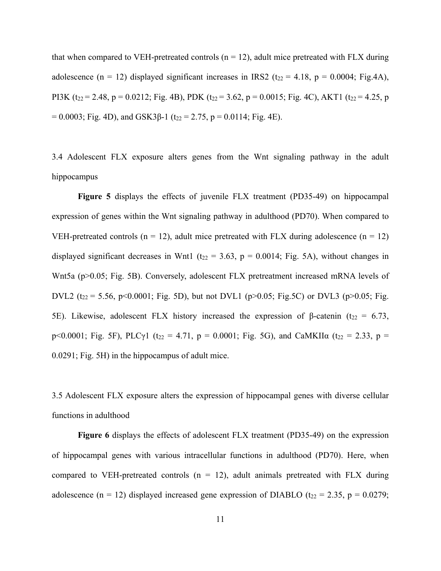that when compared to VEH-pretreated controls  $(n = 12)$ , adult mice pretreated with FLX during adolescence (n = 12) displayed significant increases in IRS2 ( $t_{22}$  = 4.18, p = 0.0004; Fig.4A), PI3K (t<sub>22</sub> = 2.48, p = 0.0212; Fig. 4B), PDK (t<sub>22</sub> = 3.62, p = 0.0015; Fig. 4C), AKT1 (t<sub>22</sub> = 4.25, p = 0.0003; Fig. 4D), and GSK3 $\beta$ -1 (t<sub>22</sub> = 2.75, p = 0.0114; Fig. 4E).

3.4 Adolescent FLX exposure alters genes from the Wnt signaling pathway in the adult hippocampus

**Figure 5** displays the effects of juvenile FLX treatment (PD35-49) on hippocampal expression of genes within the Wnt signaling pathway in adulthood (PD70). When compared to VEH-pretreated controls ( $n = 12$ ), adult mice pretreated with FLX during adolescence ( $n = 12$ ) displayed significant decreases in Wnt1 ( $t_{22} = 3.63$ ,  $p = 0.0014$ ; Fig. 5A), without changes in Wnt5a (p>0.05; Fig. 5B). Conversely, adolescent FLX pretreatment increased mRNA levels of DVL2 ( $t_{22}$  = 5.56, p<0.0001; Fig. 5D), but not DVL1 (p>0.05; Fig.5C) or DVL3 (p>0.05; Fig. 5E). Likewise, adolescent FLX history increased the expression of β-catenin (t<sub>22</sub> = 6.73, p<0.0001; Fig. 5F), PLC $\gamma$ 1 (t<sub>22</sub> = 4.71, p = 0.0001; Fig. 5G), and CaMKII $\alpha$  (t<sub>22</sub> = 2.33, p = 0.0291; Fig. 5H) in the hippocampus of adult mice.

3.5 Adolescent FLX exposure alters the expression of hippocampal genes with diverse cellular functions in adulthood

**Figure 6** displays the effects of adolescent FLX treatment (PD35-49) on the expression of hippocampal genes with various intracellular functions in adulthood (PD70). Here, when compared to VEH-pretreated controls  $(n = 12)$ , adult animals pretreated with FLX during adolescence (n = 12) displayed increased gene expression of DIABLO ( $t_{22}$  = 2.35, p = 0.0279;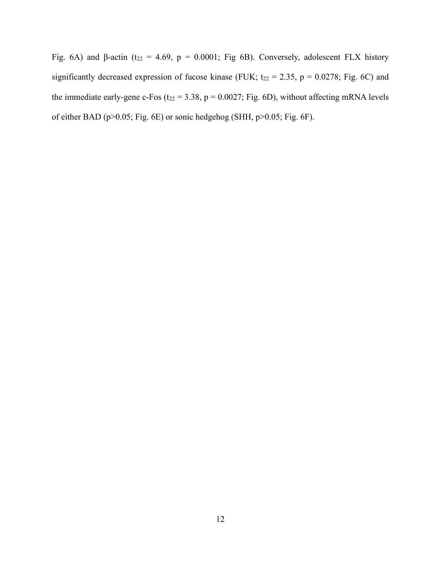Fig. 6A) and β-actin ( $t_{22} = 4.69$ ,  $p = 0.0001$ ; Fig 6B). Conversely, adolescent FLX history significantly decreased expression of fucose kinase (FUK;  $t_{22} = 2.35$ ,  $p = 0.0278$ ; Fig. 6C) and the immediate early-gene c-Fos ( $t_{22} = 3.38$ ,  $p = 0.0027$ ; Fig. 6D), without affecting mRNA levels of either BAD (p>0.05; Fig. 6E) or sonic hedgehog (SHH, p>0.05; Fig. 6F).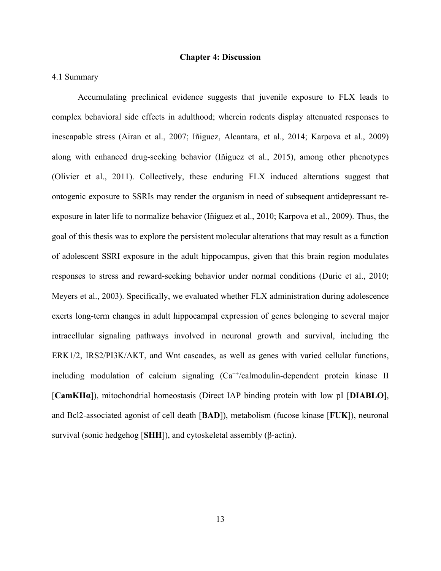#### **Chapter 4: Discussion**

#### 4.1 Summary

Accumulating preclinical evidence suggests that juvenile exposure to FLX leads to complex behavioral side effects in adulthood; wherein rodents display attenuated responses to inescapable stress (Airan et al., 2007; Iñiguez, Alcantara, et al., 2014; Karpova et al., 2009) along with enhanced drug-seeking behavior (Iñiguez et al., 2015), among other phenotypes (Olivier et al., 2011). Collectively, these enduring FLX induced alterations suggest that ontogenic exposure to SSRIs may render the organism in need of subsequent antidepressant reexposure in later life to normalize behavior (Iñiguez et al., 2010; Karpova et al., 2009). Thus, the goal of this thesis was to explore the persistent molecular alterations that may result as a function of adolescent SSRI exposure in the adult hippocampus, given that this brain region modulates responses to stress and reward-seeking behavior under normal conditions (Duric et al., 2010; Meyers et al., 2003). Specifically, we evaluated whether FLX administration during adolescence exerts long-term changes in adult hippocampal expression of genes belonging to several major intracellular signaling pathways involved in neuronal growth and survival, including the ERK1/2, IRS2/PI3K/AKT, and Wnt cascades, as well as genes with varied cellular functions, including modulation of calcium signaling  $(Ca^{++}/calmodulin-dependent)$  protein kinase II [**CamKIIα**]), mitochondrial homeostasis (Direct IAP binding protein with low pI [**DIABLO**], and Bcl2-associated agonist of cell death [**BAD**]), metabolism (fucose kinase [**FUK**]), neuronal survival (sonic hedgehog [**SHH**]), and cytoskeletal assembly (β-actin).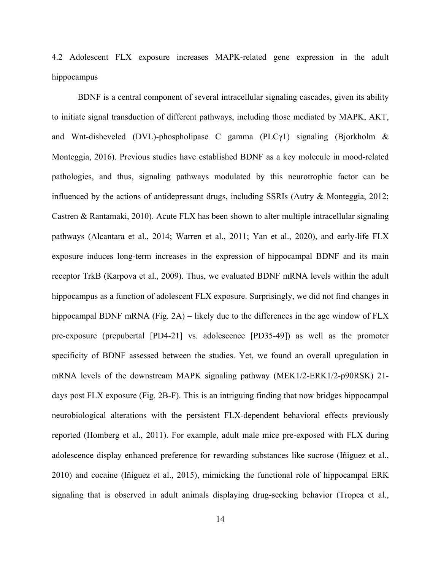4.2 Adolescent FLX exposure increases MAPK-related gene expression in the adult hippocampus

BDNF is a central component of several intracellular signaling cascades, given its ability to initiate signal transduction of different pathways, including those mediated by MAPK, AKT, and Wnt-disheveled (DVL)-phospholipase C gamma (PLCγ1) signaling (Bjorkholm & Monteggia, 2016). Previous studies have established BDNF as a key molecule in mood-related pathologies, and thus, signaling pathways modulated by this neurotrophic factor can be influenced by the actions of antidepressant drugs, including SSRIs (Autry & Monteggia, 2012; Castren & Rantamaki, 2010). Acute FLX has been shown to alter multiple intracellular signaling pathways (Alcantara et al., 2014; Warren et al., 2011; Yan et al., 2020), and early-life FLX exposure induces long-term increases in the expression of hippocampal BDNF and its main receptor TrkB (Karpova et al., 2009). Thus, we evaluated BDNF mRNA levels within the adult hippocampus as a function of adolescent FLX exposure. Surprisingly, we did not find changes in hippocampal BDNF mRNA (Fig. 2A) – likely due to the differences in the age window of FLX pre-exposure (prepubertal [PD4-21] vs. adolescence [PD35-49]) as well as the promoter specificity of BDNF assessed between the studies. Yet, we found an overall upregulation in mRNA levels of the downstream MAPK signaling pathway (MEK1/2-ERK1/2-p90RSK) 21 days post FLX exposure (Fig. 2B-F). This is an intriguing finding that now bridges hippocampal neurobiological alterations with the persistent FLX-dependent behavioral effects previously reported (Homberg et al., 2011). For example, adult male mice pre-exposed with FLX during adolescence display enhanced preference for rewarding substances like sucrose (Iñiguez et al., 2010) and cocaine (Iñiguez et al., 2015), mimicking the functional role of hippocampal ERK signaling that is observed in adult animals displaying drug-seeking behavior (Tropea et al.,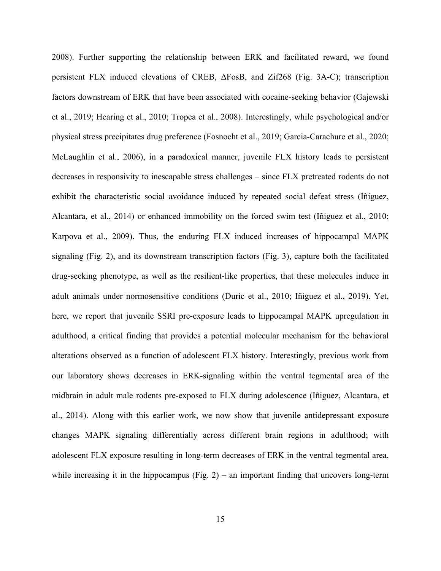2008). Further supporting the relationship between ERK and facilitated reward, we found persistent FLX induced elevations of CREB, ΔFosB, and Zif268 (Fig. 3A-C); transcription factors downstream of ERK that have been associated with cocaine-seeking behavior (Gajewski et al., 2019; Hearing et al., 2010; Tropea et al., 2008). Interestingly, while psychological and/or physical stress precipitates drug preference (Fosnocht et al., 2019; Garcia-Carachure et al., 2020; McLaughlin et al., 2006), in a paradoxical manner, juvenile FLX history leads to persistent decreases in responsivity to inescapable stress challenges – since FLX pretreated rodents do not exhibit the characteristic social avoidance induced by repeated social defeat stress (Iñiguez, Alcantara, et al., 2014) or enhanced immobility on the forced swim test (Iñiguez et al., 2010; Karpova et al., 2009). Thus, the enduring FLX induced increases of hippocampal MAPK signaling (Fig. 2), and its downstream transcription factors (Fig. 3), capture both the facilitated drug-seeking phenotype, as well as the resilient-like properties, that these molecules induce in adult animals under normosensitive conditions (Duric et al., 2010; Iñiguez et al., 2019). Yet, here, we report that juvenile SSRI pre-exposure leads to hippocampal MAPK upregulation in adulthood, a critical finding that provides a potential molecular mechanism for the behavioral alterations observed as a function of adolescent FLX history. Interestingly, previous work from our laboratory shows decreases in ERK-signaling within the ventral tegmental area of the midbrain in adult male rodents pre-exposed to FLX during adolescence (Iñiguez, Alcantara, et al., 2014). Along with this earlier work, we now show that juvenile antidepressant exposure changes MAPK signaling differentially across different brain regions in adulthood; with adolescent FLX exposure resulting in long-term decreases of ERK in the ventral tegmental area, while increasing it in the hippocampus (Fig. 2) – an important finding that uncovers long-term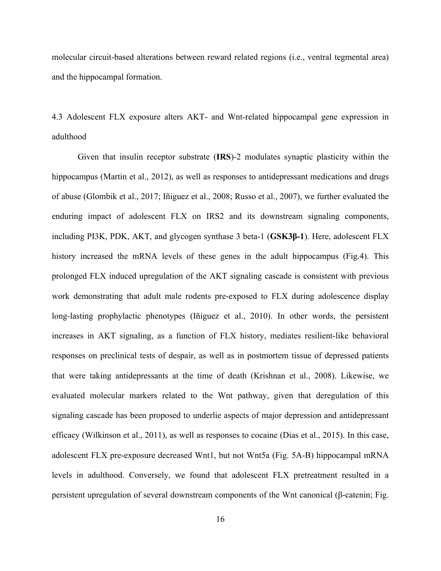molecular circuit-based alterations between reward related regions (i.e., ventral tegmental area) and the hippocampal formation.

4.3 Adolescent FLX exposure alters AKT- and Wnt-related hippocampal gene expression in adulthood

Given that insulin receptor substrate (**IRS**)-2 modulates synaptic plasticity within the hippocampus (Martin et al., 2012), as well as responses to antidepressant medications and drugs of abuse (Glombik et al., 2017; Iñiguez et al., 2008; Russo et al., 2007), we further evaluated the enduring impact of adolescent FLX on IRS2 and its downstream signaling components, including PI3K, PDK, AKT, and glycogen synthase 3 beta-1 (**GSK3β-1**). Here, adolescent FLX history increased the mRNA levels of these genes in the adult hippocampus (Fig.4). This prolonged FLX induced upregulation of the AKT signaling cascade is consistent with previous work demonstrating that adult male rodents pre-exposed to FLX during adolescence display long-lasting prophylactic phenotypes (Iñiguez et al., 2010). In other words, the persistent increases in AKT signaling, as a function of FLX history, mediates resilient-like behavioral responses on preclinical tests of despair, as well as in postmortem tissue of depressed patients that were taking antidepressants at the time of death (Krishnan et al., 2008). Likewise, we evaluated molecular markers related to the Wnt pathway, given that deregulation of this signaling cascade has been proposed to underlie aspects of major depression and antidepressant efficacy (Wilkinson et al., 2011), as well as responses to cocaine (Dias et al., 2015). In this case, adolescent FLX pre-exposure decreased Wnt1, but not Wnt5a (Fig. 5A-B) hippocampal mRNA levels in adulthood. Conversely, we found that adolescent FLX pretreatment resulted in a persistent upregulation of several downstream components of the Wnt canonical (β-catenin; Fig.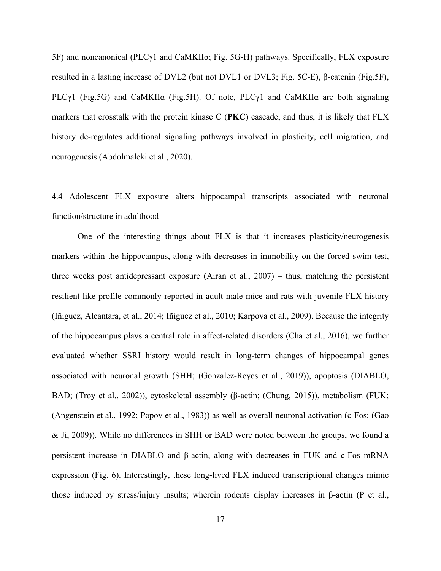5F) and noncanonical (PLCγ1 and CaMKIIα; Fig. 5G-H) pathways. Specifically, FLX exposure resulted in a lasting increase of DVL2 (but not DVL1 or DVL3; Fig. 5C-E), β-catenin (Fig.5F), PLCγ1 (Fig.5G) and CaMKII $\alpha$  (Fig.5H). Of note, PLCγ1 and CaMKII $\alpha$  are both signaling markers that crosstalk with the protein kinase C (**PKC**) cascade, and thus, it is likely that FLX history de-regulates additional signaling pathways involved in plasticity, cell migration, and neurogenesis (Abdolmaleki et al., 2020).

## 4.4 Adolescent FLX exposure alters hippocampal transcripts associated with neuronal function/structure in adulthood

One of the interesting things about FLX is that it increases plasticity/neurogenesis markers within the hippocampus, along with decreases in immobility on the forced swim test, three weeks post antidepressant exposure (Airan et al., 2007) – thus, matching the persistent resilient-like profile commonly reported in adult male mice and rats with juvenile FLX history (Iñiguez, Alcantara, et al., 2014; Iñiguez et al., 2010; Karpova et al., 2009). Because the integrity of the hippocampus plays a central role in affect-related disorders (Cha et al., 2016), we further evaluated whether SSRI history would result in long-term changes of hippocampal genes associated with neuronal growth (SHH; (Gonzalez-Reyes et al., 2019)), apoptosis (DIABLO, BAD; (Troy et al., 2002)), cytoskeletal assembly (β-actin; (Chung, 2015)), metabolism (FUK; (Angenstein et al., 1992; Popov et al., 1983)) as well as overall neuronal activation (c-Fos; (Gao & Ji, 2009)). While no differences in SHH or BAD were noted between the groups, we found a persistent increase in DIABLO and β-actin, along with decreases in FUK and c-Fos mRNA expression (Fig. 6). Interestingly, these long-lived FLX induced transcriptional changes mimic those induced by stress/injury insults; wherein rodents display increases in β-actin (P et al.,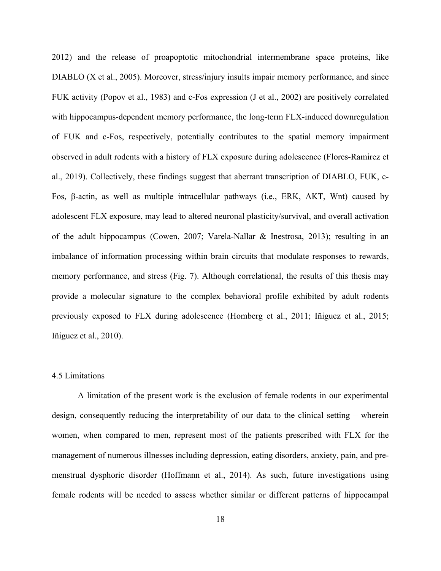2012) and the release of proapoptotic mitochondrial intermembrane space proteins, like DIABLO (X et al., 2005). Moreover, stress/injury insults impair memory performance, and since FUK activity (Popov et al., 1983) and c-Fos expression (J et al., 2002) are positively correlated with hippocampus-dependent memory performance, the long-term FLX-induced downregulation of FUK and c-Fos, respectively, potentially contributes to the spatial memory impairment observed in adult rodents with a history of FLX exposure during adolescence (Flores-Ramirez et al., 2019). Collectively, these findings suggest that aberrant transcription of DIABLO, FUK, c-Fos, β-actin, as well as multiple intracellular pathways (i.e., ERK, AKT, Wnt) caused by adolescent FLX exposure, may lead to altered neuronal plasticity/survival, and overall activation of the adult hippocampus (Cowen, 2007; Varela-Nallar & Inestrosa, 2013); resulting in an imbalance of information processing within brain circuits that modulate responses to rewards, memory performance, and stress (Fig. 7). Although correlational, the results of this thesis may provide a molecular signature to the complex behavioral profile exhibited by adult rodents previously exposed to FLX during adolescence (Homberg et al., 2011; Iñiguez et al., 2015; Iñiguez et al., 2010).

#### 4.5 Limitations

A limitation of the present work is the exclusion of female rodents in our experimental design, consequently reducing the interpretability of our data to the clinical setting – wherein women, when compared to men, represent most of the patients prescribed with FLX for the management of numerous illnesses including depression, eating disorders, anxiety, pain, and premenstrual dysphoric disorder (Hoffmann et al., 2014). As such, future investigations using female rodents will be needed to assess whether similar or different patterns of hippocampal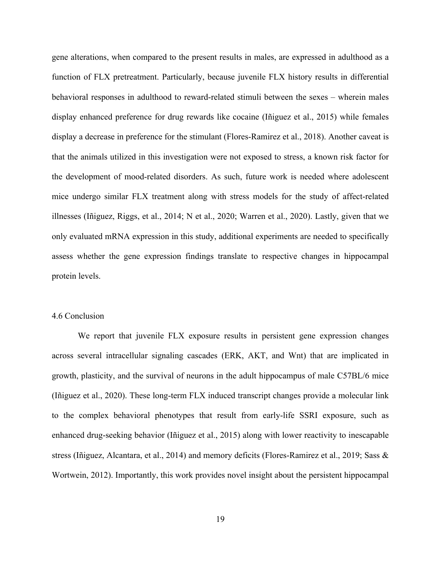gene alterations, when compared to the present results in males, are expressed in adulthood as a function of FLX pretreatment. Particularly, because juvenile FLX history results in differential behavioral responses in adulthood to reward-related stimuli between the sexes – wherein males display enhanced preference for drug rewards like cocaine (Iñiguez et al., 2015) while females display a decrease in preference for the stimulant (Flores-Ramirez et al., 2018). Another caveat is that the animals utilized in this investigation were not exposed to stress, a known risk factor for the development of mood-related disorders. As such, future work is needed where adolescent mice undergo similar FLX treatment along with stress models for the study of affect-related illnesses (Iñiguez, Riggs, et al., 2014; N et al., 2020; Warren et al., 2020). Lastly, given that we only evaluated mRNA expression in this study, additional experiments are needed to specifically assess whether the gene expression findings translate to respective changes in hippocampal protein levels.

#### 4.6 Conclusion

We report that juvenile FLX exposure results in persistent gene expression changes across several intracellular signaling cascades (ERK, AKT, and Wnt) that are implicated in growth, plasticity, and the survival of neurons in the adult hippocampus of male C57BL/6 mice (Iñiguez et al., 2020). These long-term FLX induced transcript changes provide a molecular link to the complex behavioral phenotypes that result from early-life SSRI exposure, such as enhanced drug-seeking behavior (Iñiguez et al., 2015) along with lower reactivity to inescapable stress (Iñiguez, Alcantara, et al., 2014) and memory deficits (Flores-Ramirez et al., 2019; Sass & Wortwein, 2012). Importantly, this work provides novel insight about the persistent hippocampal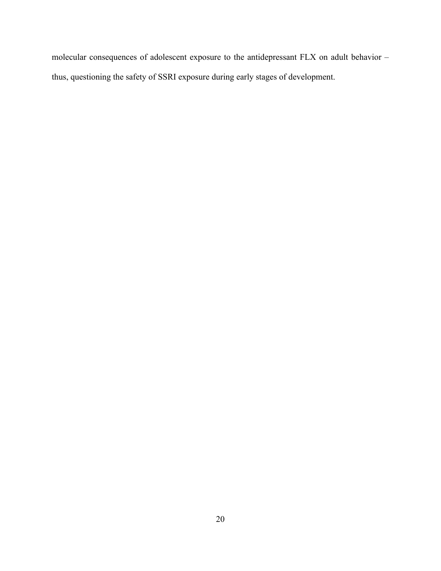molecular consequences of adolescent exposure to the antidepressant FLX on adult behavior – thus, questioning the safety of SSRI exposure during early stages of development.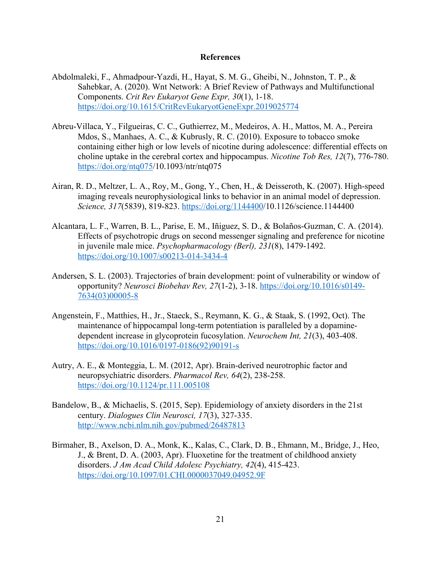#### **References**

- Abdolmaleki, F., Ahmadpour-Yazdi, H., Hayat, S. M. G., Gheibi, N., Johnston, T. P., & Sahebkar, A. (2020). Wnt Network: A Brief Review of Pathways and Multifunctional Components. *Crit Rev Eukaryot Gene Expr, 30*(1), 1-18. https://doi.org/10.1615/CritRevEukaryotGeneExpr.2019025774
- Abreu-Villaca, Y., Filgueiras, C. C., Guthierrez, M., Medeiros, A. H., Mattos, M. A., Pereira Mdos, S., Manhaes, A. C., & Kubrusly, R. C. (2010). Exposure to tobacco smoke containing either high or low levels of nicotine during adolescence: differential effects on choline uptake in the cerebral cortex and hippocampus. *Nicotine Tob Res, 12*(7), 776-780. https://doi.org/ntq075/10.1093/ntr/ntq075
- Airan, R. D., Meltzer, L. A., Roy, M., Gong, Y., Chen, H., & Deisseroth, K. (2007). High-speed imaging reveals neurophysiological links to behavior in an animal model of depression. *Science, 317*(5839), 819-823. https://doi.org/1144400/10.1126/science.1144400
- Alcantara, L. F., Warren, B. L., Parise, E. M., Iñiguez, S. D., & Bolaños-Guzman, C. A. (2014). Effects of psychotropic drugs on second messenger signaling and preference for nicotine in juvenile male mice. *Psychopharmacology (Berl), 231*(8), 1479-1492. https://doi.org/10.1007/s00213-014-3434-4
- Andersen, S. L. (2003). Trajectories of brain development: point of vulnerability or window of opportunity? *Neurosci Biobehav Rev, 27*(1-2), 3-18. https://doi.org/10.1016/s0149- 7634(03)00005-8
- Angenstein, F., Matthies, H., Jr., Staeck, S., Reymann, K. G., & Staak, S. (1992, Oct). The maintenance of hippocampal long-term potentiation is paralleled by a dopaminedependent increase in glycoprotein fucosylation. *Neurochem Int, 21*(3), 403-408. https://doi.org/10.1016/0197-0186(92)90191-s
- Autry, A. E., & Monteggia, L. M. (2012, Apr). Brain-derived neurotrophic factor and neuropsychiatric disorders. *Pharmacol Rev, 64*(2), 238-258. https://doi.org/10.1124/pr.111.005108
- Bandelow, B., & Michaelis, S. (2015, Sep). Epidemiology of anxiety disorders in the 21st century. *Dialogues Clin Neurosci, 17*(3), 327-335. http://www.ncbi.nlm.nih.gov/pubmed/26487813
- Birmaher, B., Axelson, D. A., Monk, K., Kalas, C., Clark, D. B., Ehmann, M., Bridge, J., Heo, J., & Brent, D. A. (2003, Apr). Fluoxetine for the treatment of childhood anxiety disorders. *J Am Acad Child Adolesc Psychiatry, 42*(4), 415-423. https://doi.org/10.1097/01.CHI.0000037049.04952.9F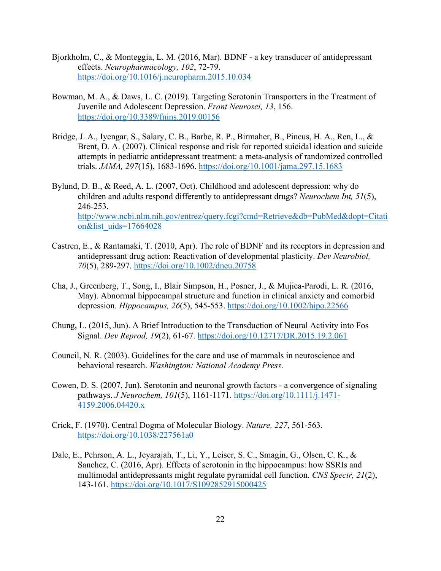- Bjorkholm, C., & Monteggia, L. M. (2016, Mar). BDNF a key transducer of antidepressant effects. *Neuropharmacology, 102*, 72-79. https://doi.org/10.1016/j.neuropharm.2015.10.034
- Bowman, M. A., & Daws, L. C. (2019). Targeting Serotonin Transporters in the Treatment of Juvenile and Adolescent Depression. *Front Neurosci, 13*, 156. https://doi.org/10.3389/fnins.2019.00156
- Bridge, J. A., Iyengar, S., Salary, C. B., Barbe, R. P., Birmaher, B., Pincus, H. A., Ren, L., & Brent, D. A. (2007). Clinical response and risk for reported suicidal ideation and suicide attempts in pediatric antidepressant treatment: a meta-analysis of randomized controlled trials. *JAMA, 297*(15), 1683-1696. https://doi.org/10.1001/jama.297.15.1683

Bylund, D. B., & Reed, A. L. (2007, Oct). Childhood and adolescent depression: why do children and adults respond differently to antidepressant drugs? *Neurochem Int, 51*(5), 246-253. http://www.ncbi.nlm.nih.gov/entrez/query.fcgi?cmd=Retrieve&db=PubMed&dopt=Citati on&list\_uids=17664028

- Castren, E., & Rantamaki, T. (2010, Apr). The role of BDNF and its receptors in depression and antidepressant drug action: Reactivation of developmental plasticity. *Dev Neurobiol, 70*(5), 289-297. https://doi.org/10.1002/dneu.20758
- Cha, J., Greenberg, T., Song, I., Blair Simpson, H., Posner, J., & Mujica-Parodi, L. R. (2016, May). Abnormal hippocampal structure and function in clinical anxiety and comorbid depression. *Hippocampus, 26*(5), 545-553. https://doi.org/10.1002/hipo.22566
- Chung, L. (2015, Jun). A Brief Introduction to the Transduction of Neural Activity into Fos Signal. *Dev Reprod, 19*(2), 61-67. https://doi.org/10.12717/DR.2015.19.2.061
- Council, N. R. (2003). Guidelines for the care and use of mammals in neuroscience and behavioral research. *Washington: National Academy Press*.
- Cowen, D. S. (2007, Jun). Serotonin and neuronal growth factors a convergence of signaling pathways. *J Neurochem, 101*(5), 1161-1171. https://doi.org/10.1111/j.1471- 4159.2006.04420.x
- Crick, F. (1970). Central Dogma of Molecular Biology. *Nature, 227*, 561-563. https://doi.org/10.1038/227561a0
- Dale, E., Pehrson, A. L., Jeyarajah, T., Li, Y., Leiser, S. C., Smagin, G., Olsen, C. K., & Sanchez, C. (2016, Apr). Effects of serotonin in the hippocampus: how SSRIs and multimodal antidepressants might regulate pyramidal cell function. *CNS Spectr, 21*(2), 143-161. https://doi.org/10.1017/S1092852915000425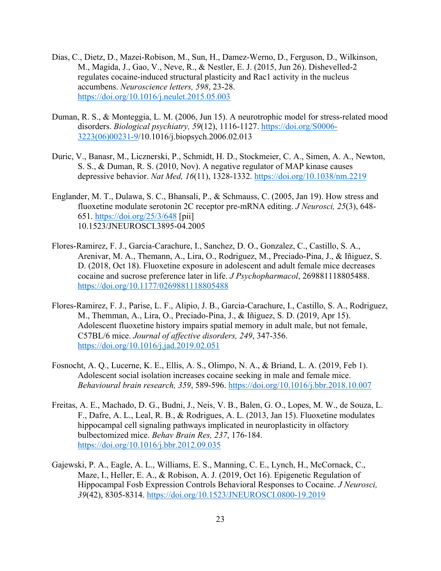- Dias, C., Dietz, D., Mazei-Robison, M., Sun, H., Damez-Werno, D., Ferguson, D., Wilkinson, M., Magida, J., Gao, V., Neve, R., & Nestler, E. J. (2015, Jun 26). Dishevelled-2 regulates cocaine-induced structural plasticity and Rac1 activity in the nucleus accumbens. *Neuroscience letters, 598*, 23-28. https://doi.org/10.1016/j.neulet.2015.05.003
- Duman, R. S., & Monteggia, L. M. (2006, Jun 15). A neurotrophic model for stress-related mood disorders. *Biological psychiatry, 59*(12), 1116-1127. https://doi.org/S0006- 3223(06)00231-9/10.1016/j.biopsych.2006.02.013
- Duric, V., Banasr, M., Licznerski, P., Schmidt, H. D., Stockmeier, C. A., Simen, A. A., Newton, S. S., & Duman, R. S. (2010, Nov). A negative regulator of MAP kinase causes depressive behavior. *Nat Med, 16*(11), 1328-1332. https://doi.org/10.1038/nm.2219
- Englander, M. T., Dulawa, S. C., Bhansali, P., & Schmauss, C. (2005, Jan 19). How stress and fluoxetine modulate serotonin 2C receptor pre-mRNA editing. *J Neurosci, 25*(3), 648- 651. https://doi.org/25/3/648 [pii] 10.1523/JNEUROSCI.3895-04.2005
- Flores-Ramirez, F. J., Garcia-Carachure, I., Sanchez, D. O., Gonzalez, C., Castillo, S. A., Arenivar, M. A., Themann, A., Lira, O., Rodriguez, M., Preciado-Pina, J., & Iñiguez, S. D. (2018, Oct 18). Fluoxetine exposure in adolescent and adult female mice decreases cocaine and sucrose preference later in life. *J Psychopharmacol*, 269881118805488. https://doi.org/10.1177/0269881118805488
- Flores-Ramirez, F. J., Parise, L. F., Alipio, J. B., Garcia-Carachure, I., Castillo, S. A., Rodriguez, M., Themman, A., Lira, O., Preciado-Pina, J., & Iñiguez, S. D. (2019, Apr 15). Adolescent fluoxetine history impairs spatial memory in adult male, but not female, C57BL/6 mice. *Journal of affective disorders, 249*, 347-356. https://doi.org/10.1016/j.jad.2019.02.051
- Fosnocht, A. Q., Lucerne, K. E., Ellis, A. S., Olimpo, N. A., & Briand, L. A. (2019, Feb 1). Adolescent social isolation increases cocaine seeking in male and female mice. *Behavioural brain research, 359*, 589-596. https://doi.org/10.1016/j.bbr.2018.10.007
- Freitas, A. E., Machado, D. G., Budni, J., Neis, V. B., Balen, G. O., Lopes, M. W., de Souza, L. F., Dafre, A. L., Leal, R. B., & Rodrigues, A. L. (2013, Jan 15). Fluoxetine modulates hippocampal cell signaling pathways implicated in neuroplasticity in olfactory bulbectomized mice. *Behav Brain Res, 237*, 176-184. https://doi.org/10.1016/j.bbr.2012.09.035
- Gajewski, P. A., Eagle, A. L., Williams, E. S., Manning, C. E., Lynch, H., McCornack, C., Maze, I., Heller, E. A., & Robison, A. J. (2019, Oct 16). Epigenetic Regulation of Hippocampal Fosb Expression Controls Behavioral Responses to Cocaine. *J Neurosci, 39*(42), 8305-8314. https://doi.org/10.1523/JNEUROSCI.0800-19.2019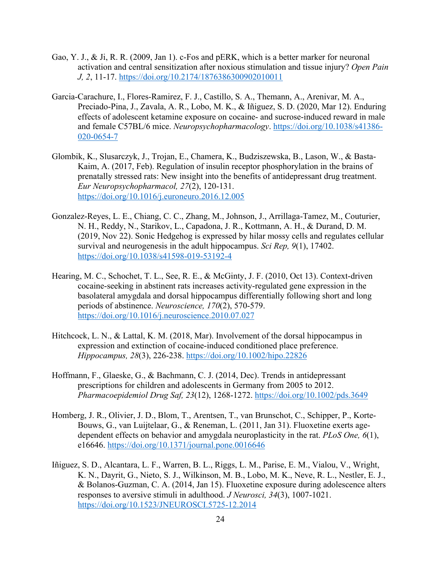- Gao, Y. J., & Ji, R. R. (2009, Jan 1). c-Fos and pERK, which is a better marker for neuronal activation and central sensitization after noxious stimulation and tissue injury? *Open Pain J, 2*, 11-17. https://doi.org/10.2174/1876386300902010011
- Garcia-Carachure, I., Flores-Ramirez, F. J., Castillo, S. A., Themann, A., Arenivar, M. A., Preciado-Pina, J., Zavala, A. R., Lobo, M. K., & Iñiguez, S. D. (2020, Mar 12). Enduring effects of adolescent ketamine exposure on cocaine- and sucrose-induced reward in male and female C57BL/6 mice. *Neuropsychopharmacology*. https://doi.org/10.1038/s41386- 020-0654-7
- Glombik, K., Slusarczyk, J., Trojan, E., Chamera, K., Budziszewska, B., Lason, W., & Basta-Kaim, A. (2017, Feb). Regulation of insulin receptor phosphorylation in the brains of prenatally stressed rats: New insight into the benefits of antidepressant drug treatment. *Eur Neuropsychopharmacol, 27*(2), 120-131. https://doi.org/10.1016/j.euroneuro.2016.12.005
- Gonzalez-Reyes, L. E., Chiang, C. C., Zhang, M., Johnson, J., Arrillaga-Tamez, M., Couturier, N. H., Reddy, N., Starikov, L., Capadona, J. R., Kottmann, A. H., & Durand, D. M. (2019, Nov 22). Sonic Hedgehog is expressed by hilar mossy cells and regulates cellular survival and neurogenesis in the adult hippocampus. *Sci Rep, 9*(1), 17402. https://doi.org/10.1038/s41598-019-53192-4
- Hearing, M. C., Schochet, T. L., See, R. E., & McGinty, J. F. (2010, Oct 13). Context-driven cocaine-seeking in abstinent rats increases activity-regulated gene expression in the basolateral amygdala and dorsal hippocampus differentially following short and long periods of abstinence. *Neuroscience, 170*(2), 570-579. https://doi.org/10.1016/j.neuroscience.2010.07.027
- Hitchcock, L. N., & Lattal, K. M. (2018, Mar). Involvement of the dorsal hippocampus in expression and extinction of cocaine-induced conditioned place preference. *Hippocampus, 28*(3), 226-238. https://doi.org/10.1002/hipo.22826
- Hoffmann, F., Glaeske, G., & Bachmann, C. J. (2014, Dec). Trends in antidepressant prescriptions for children and adolescents in Germany from 2005 to 2012. *Pharmacoepidemiol Drug Saf, 23*(12), 1268-1272. https://doi.org/10.1002/pds.3649
- Homberg, J. R., Olivier, J. D., Blom, T., Arentsen, T., van Brunschot, C., Schipper, P., Korte-Bouws, G., van Luijtelaar, G., & Reneman, L. (2011, Jan 31). Fluoxetine exerts agedependent effects on behavior and amygdala neuroplasticity in the rat. *PLoS One, 6*(1), e16646. https://doi.org/10.1371/journal.pone.0016646
- Iñiguez, S. D., Alcantara, L. F., Warren, B. L., Riggs, L. M., Parise, E. M., Vialou, V., Wright, K. N., Dayrit, G., Nieto, S. J., Wilkinson, M. B., Lobo, M. K., Neve, R. L., Nestler, E. J., & Bolanos-Guzman, C. A. (2014, Jan 15). Fluoxetine exposure during adolescence alters responses to aversive stimuli in adulthood. *J Neurosci, 34*(3), 1007-1021. https://doi.org/10.1523/JNEUROSCI.5725-12.2014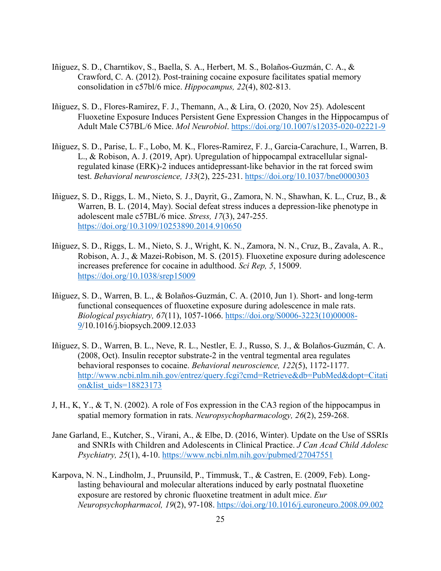- Iñiguez, S. D., Charntikov, S., Baella, S. A., Herbert, M. S., Bolaños-Guzmán, C. A., & Crawford, C. A. (2012). Post-training cocaine exposure facilitates spatial memory consolidation in c57bl/6 mice. *Hippocampus, 22*(4), 802-813.
- Iñiguez, S. D., Flores-Ramirez, F. J., Themann, A., & Lira, O. (2020, Nov 25). Adolescent Fluoxetine Exposure Induces Persistent Gene Expression Changes in the Hippocampus of Adult Male C57BL/6 Mice. *Mol Neurobiol*. https://doi.org/10.1007/s12035-020-02221-9
- Iñiguez, S. D., Parise, L. F., Lobo, M. K., Flores-Ramirez, F. J., Garcia-Carachure, I., Warren, B. L., & Robison, A. J. (2019, Apr). Upregulation of hippocampal extracellular signalregulated kinase (ERK)-2 induces antidepressant-like behavior in the rat forced swim test. *Behavioral neuroscience, 133*(2), 225-231. https://doi.org/10.1037/bne0000303
- Iñiguez, S. D., Riggs, L. M., Nieto, S. J., Dayrit, G., Zamora, N. N., Shawhan, K. L., Cruz, B., & Warren, B. L. (2014, May). Social defeat stress induces a depression-like phenotype in adolescent male c57BL/6 mice. *Stress, 17*(3), 247-255. https://doi.org/10.3109/10253890.2014.910650
- Iñiguez, S. D., Riggs, L. M., Nieto, S. J., Wright, K. N., Zamora, N. N., Cruz, B., Zavala, A. R., Robison, A. J., & Mazei-Robison, M. S. (2015). Fluoxetine exposure during adolescence increases preference for cocaine in adulthood. *Sci Rep, 5*, 15009. https://doi.org/10.1038/srep15009
- Iñiguez, S. D., Warren, B. L., & Bolaños-Guzmán, C. A. (2010, Jun 1). Short- and long-term functional consequences of fluoxetine exposure during adolescence in male rats. *Biological psychiatry, 67*(11), 1057-1066. https://doi.org/S0006-3223(10)00008- 9/10.1016/j.biopsych.2009.12.033
- Iñiguez, S. D., Warren, B. L., Neve, R. L., Nestler, E. J., Russo, S. J., & Bolaños-Guzmán, C. A. (2008, Oct). Insulin receptor substrate-2 in the ventral tegmental area regulates behavioral responses to cocaine. *Behavioral neuroscience, 122*(5), 1172-1177. http://www.ncbi.nlm.nih.gov/entrez/query.fcgi?cmd=Retrieve&db=PubMed&dopt=Citati on&list\_uids=18823173
- J, H., K, Y., & T, N. (2002). A role of Fos expression in the CA3 region of the hippocampus in spatial memory formation in rats. *Neuropsychopharmacology, 26*(2), 259-268.
- Jane Garland, E., Kutcher, S., Virani, A., & Elbe, D. (2016, Winter). Update on the Use of SSRIs and SNRIs with Children and Adolescents in Clinical Practice. *J Can Acad Child Adolesc Psychiatry, 25*(1), 4-10. https://www.ncbi.nlm.nih.gov/pubmed/27047551
- Karpova, N. N., Lindholm, J., Pruunsild, P., Timmusk, T., & Castren, E. (2009, Feb). Longlasting behavioural and molecular alterations induced by early postnatal fluoxetine exposure are restored by chronic fluoxetine treatment in adult mice. *Eur Neuropsychopharmacol, 19*(2), 97-108. https://doi.org/10.1016/j.euroneuro.2008.09.002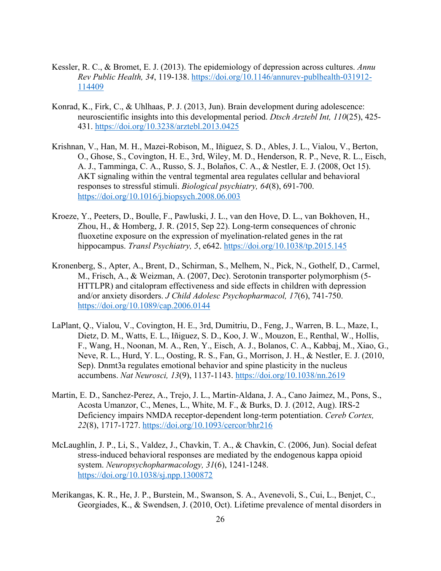- Kessler, R. C., & Bromet, E. J. (2013). The epidemiology of depression across cultures. *Annu Rev Public Health, 34*, 119-138. https://doi.org/10.1146/annurev-publhealth-031912- 114409
- Konrad, K., Firk, C., & Uhlhaas, P. J. (2013, Jun). Brain development during adolescence: neuroscientific insights into this developmental period. *Dtsch Arztebl Int, 110*(25), 425- 431. https://doi.org/10.3238/arztebl.2013.0425
- Krishnan, V., Han, M. H., Mazei-Robison, M., Iñiguez, S. D., Ables, J. L., Vialou, V., Berton, O., Ghose, S., Covington, H. E., 3rd, Wiley, M. D., Henderson, R. P., Neve, R. L., Eisch, A. J., Tamminga, C. A., Russo, S. J., Bolaños, C. A., & Nestler, E. J. (2008, Oct 15). AKT signaling within the ventral tegmental area regulates cellular and behavioral responses to stressful stimuli. *Biological psychiatry, 64*(8), 691-700. https://doi.org/10.1016/j.biopsych.2008.06.003
- Kroeze, Y., Peeters, D., Boulle, F., Pawluski, J. L., van den Hove, D. L., van Bokhoven, H., Zhou, H., & Homberg, J. R. (2015, Sep 22). Long-term consequences of chronic fluoxetine exposure on the expression of myelination-related genes in the rat hippocampus. *Transl Psychiatry, 5*, e642. https://doi.org/10.1038/tp.2015.145
- Kronenberg, S., Apter, A., Brent, D., Schirman, S., Melhem, N., Pick, N., Gothelf, D., Carmel, M., Frisch, A., & Weizman, A. (2007, Dec). Serotonin transporter polymorphism (5- HTTLPR) and citalopram effectiveness and side effects in children with depression and/or anxiety disorders. *J Child Adolesc Psychopharmacol, 17*(6), 741-750. https://doi.org/10.1089/cap.2006.0144
- LaPlant, Q., Vialou, V., Covington, H. E., 3rd, Dumitriu, D., Feng, J., Warren, B. L., Maze, I., Dietz, D. M., Watts, E. L., Iñiguez, S. D., Koo, J. W., Mouzon, E., Renthal, W., Hollis, F., Wang, H., Noonan, M. A., Ren, Y., Eisch, A. J., Bolanos, C. A., Kabbaj, M., Xiao, G., Neve, R. L., Hurd, Y. L., Oosting, R. S., Fan, G., Morrison, J. H., & Nestler, E. J. (2010, Sep). Dnmt3a regulates emotional behavior and spine plasticity in the nucleus accumbens. *Nat Neurosci, 13*(9), 1137-1143. https://doi.org/10.1038/nn.2619
- Martin, E. D., Sanchez-Perez, A., Trejo, J. L., Martin-Aldana, J. A., Cano Jaimez, M., Pons, S., Acosta Umanzor, C., Menes, L., White, M. F., & Burks, D. J. (2012, Aug). IRS-2 Deficiency impairs NMDA receptor-dependent long-term potentiation. *Cereb Cortex, 22*(8), 1717-1727. https://doi.org/10.1093/cercor/bhr216
- McLaughlin, J. P., Li, S., Valdez, J., Chavkin, T. A., & Chavkin, C. (2006, Jun). Social defeat stress-induced behavioral responses are mediated by the endogenous kappa opioid system. *Neuropsychopharmacology, 31*(6), 1241-1248. https://doi.org/10.1038/sj.npp.1300872
- Merikangas, K. R., He, J. P., Burstein, M., Swanson, S. A., Avenevoli, S., Cui, L., Benjet, C., Georgiades, K., & Swendsen, J. (2010, Oct). Lifetime prevalence of mental disorders in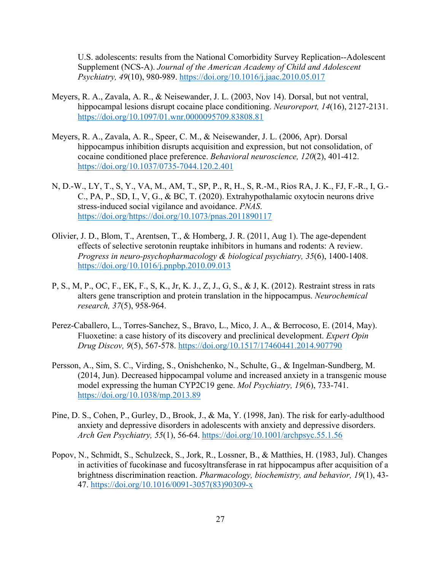U.S. adolescents: results from the National Comorbidity Survey Replication--Adolescent Supplement (NCS-A). *Journal of the American Academy of Child and Adolescent Psychiatry, 49*(10), 980-989. https://doi.org/10.1016/j.jaac.2010.05.017

- Meyers, R. A., Zavala, A. R., & Neisewander, J. L. (2003, Nov 14). Dorsal, but not ventral, hippocampal lesions disrupt cocaine place conditioning. *Neuroreport, 14*(16), 2127-2131. https://doi.org/10.1097/01.wnr.0000095709.83808.81
- Meyers, R. A., Zavala, A. R., Speer, C. M., & Neisewander, J. L. (2006, Apr). Dorsal hippocampus inhibition disrupts acquisition and expression, but not consolidation, of cocaine conditioned place preference. *Behavioral neuroscience, 120*(2), 401-412. https://doi.org/10.1037/0735-7044.120.2.401
- N, D.-W., LY, T., S, Y., VA, M., AM, T., SP, P., R, H., S, R.-M., Rios RA, J. K., FJ, F.-R., I, G.- C., PA, P., SD, I., V, G., & BC, T. (2020). Extrahypothalamic oxytocin neurons drive stress-induced social vigilance and avoidance. *PNAS*. https://doi.org/https://doi.org/10.1073/pnas.2011890117
- Olivier, J. D., Blom, T., Arentsen, T., & Homberg, J. R. (2011, Aug 1). The age-dependent effects of selective serotonin reuptake inhibitors in humans and rodents: A review. *Progress in neuro-psychopharmacology & biological psychiatry, 35*(6), 1400-1408. https://doi.org/10.1016/j.pnpbp.2010.09.013
- P, S., M, P., OC, F., EK, F., S, K., Jr, K. J., Z, J., G, S., & J, K. (2012). Restraint stress in rats alters gene transcription and protein translation in the hippocampus. *Neurochemical research, 37*(5), 958-964.
- Perez-Caballero, L., Torres-Sanchez, S., Bravo, L., Mico, J. A., & Berrocoso, E. (2014, May). Fluoxetine: a case history of its discovery and preclinical development. *Expert Opin Drug Discov, 9*(5), 567-578. https://doi.org/10.1517/17460441.2014.907790
- Persson, A., Sim, S. C., Virding, S., Onishchenko, N., Schulte, G., & Ingelman-Sundberg, M. (2014, Jun). Decreased hippocampal volume and increased anxiety in a transgenic mouse model expressing the human CYP2C19 gene. *Mol Psychiatry, 19*(6), 733-741. https://doi.org/10.1038/mp.2013.89
- Pine, D. S., Cohen, P., Gurley, D., Brook, J., & Ma, Y. (1998, Jan). The risk for early-adulthood anxiety and depressive disorders in adolescents with anxiety and depressive disorders. *Arch Gen Psychiatry, 55*(1), 56-64. https://doi.org/10.1001/archpsyc.55.1.56
- Popov, N., Schmidt, S., Schulzeck, S., Jork, R., Lossner, B., & Matthies, H. (1983, Jul). Changes in activities of fucokinase and fucosyltransferase in rat hippocampus after acquisition of a brightness discrimination reaction. *Pharmacology, biochemistry, and behavior, 19*(1), 43- 47. https://doi.org/10.1016/0091-3057(83)90309-x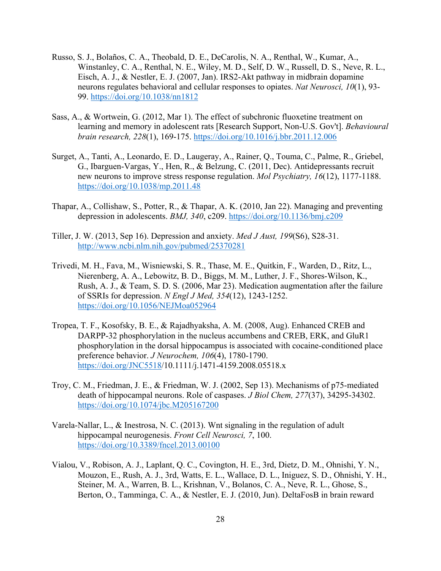- Russo, S. J., Bolaños, C. A., Theobald, D. E., DeCarolis, N. A., Renthal, W., Kumar, A., Winstanley, C. A., Renthal, N. E., Wiley, M. D., Self, D. W., Russell, D. S., Neve, R. L., Eisch, A. J., & Nestler, E. J. (2007, Jan). IRS2-Akt pathway in midbrain dopamine neurons regulates behavioral and cellular responses to opiates. *Nat Neurosci, 10*(1), 93- 99. https://doi.org/10.1038/nn1812
- Sass, A., & Wortwein, G. (2012, Mar 1). The effect of subchronic fluoxetine treatment on learning and memory in adolescent rats [Research Support, Non-U.S. Gov't]. *Behavioural brain research, 228*(1), 169-175. https://doi.org/10.1016/j.bbr.2011.12.006
- Surget, A., Tanti, A., Leonardo, E. D., Laugeray, A., Rainer, Q., Touma, C., Palme, R., Griebel, G., Ibarguen-Vargas, Y., Hen, R., & Belzung, C. (2011, Dec). Antidepressants recruit new neurons to improve stress response regulation. *Mol Psychiatry, 16*(12), 1177-1188. https://doi.org/10.1038/mp.2011.48
- Thapar, A., Collishaw, S., Potter, R., & Thapar, A. K. (2010, Jan 22). Managing and preventing depression in adolescents. *BMJ, 340*, c209. https://doi.org/10.1136/bmj.c209
- Tiller, J. W. (2013, Sep 16). Depression and anxiety. *Med J Aust, 199*(S6), S28-31. http://www.ncbi.nlm.nih.gov/pubmed/25370281
- Trivedi, M. H., Fava, M., Wisniewski, S. R., Thase, M. E., Quitkin, F., Warden, D., Ritz, L., Nierenberg, A. A., Lebowitz, B. D., Biggs, M. M., Luther, J. F., Shores-Wilson, K., Rush, A. J., & Team, S. D. S. (2006, Mar 23). Medication augmentation after the failure of SSRIs for depression. *N Engl J Med, 354*(12), 1243-1252. https://doi.org/10.1056/NEJMoa052964
- Tropea, T. F., Kosofsky, B. E., & Rajadhyaksha, A. M. (2008, Aug). Enhanced CREB and DARPP-32 phosphorylation in the nucleus accumbens and CREB, ERK, and GluR1 phosphorylation in the dorsal hippocampus is associated with cocaine-conditioned place preference behavior. *J Neurochem, 106*(4), 1780-1790. https://doi.org/JNC5518/10.1111/j.1471-4159.2008.05518.x
- Troy, C. M., Friedman, J. E., & Friedman, W. J. (2002, Sep 13). Mechanisms of p75-mediated death of hippocampal neurons. Role of caspases. *J Biol Chem, 277*(37), 34295-34302. https://doi.org/10.1074/jbc.M205167200
- Varela-Nallar, L., & Inestrosa, N. C. (2013). Wnt signaling in the regulation of adult hippocampal neurogenesis. *Front Cell Neurosci, 7*, 100. https://doi.org/10.3389/fncel.2013.00100
- Vialou, V., Robison, A. J., Laplant, Q. C., Covington, H. E., 3rd, Dietz, D. M., Ohnishi, Y. N., Mouzon, E., Rush, A. J., 3rd, Watts, E. L., Wallace, D. L., Iniguez, S. D., Ohnishi, Y. H., Steiner, M. A., Warren, B. L., Krishnan, V., Bolanos, C. A., Neve, R. L., Ghose, S., Berton, O., Tamminga, C. A., & Nestler, E. J. (2010, Jun). DeltaFosB in brain reward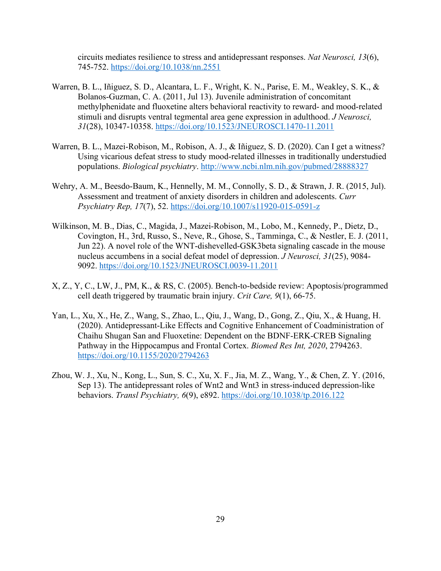circuits mediates resilience to stress and antidepressant responses. *Nat Neurosci, 13*(6), 745-752. https://doi.org/10.1038/nn.2551

- Warren, B. L., Iñiguez, S. D., Alcantara, L. F., Wright, K. N., Parise, E. M., Weakley, S. K., & Bolanos-Guzman, C. A. (2011, Jul 13). Juvenile administration of concomitant methylphenidate and fluoxetine alters behavioral reactivity to reward- and mood-related stimuli and disrupts ventral tegmental area gene expression in adulthood. *J Neurosci, 31*(28), 10347-10358. https://doi.org/10.1523/JNEUROSCI.1470-11.2011
- Warren, B. L., Mazei-Robison, M., Robison, A. J., & Iñiguez, S. D. (2020). Can I get a witness? Using vicarious defeat stress to study mood-related illnesses in traditionally understudied populations. *Biological psychiatry*. http://www.ncbi.nlm.nih.gov/pubmed/28888327
- Wehry, A. M., Beesdo-Baum, K., Hennelly, M. M., Connolly, S. D., & Strawn, J. R. (2015, Jul). Assessment and treatment of anxiety disorders in children and adolescents. *Curr Psychiatry Rep, 17*(7), 52. https://doi.org/10.1007/s11920-015-0591-z
- Wilkinson, M. B., Dias, C., Magida, J., Mazei-Robison, M., Lobo, M., Kennedy, P., Dietz, D., Covington, H., 3rd, Russo, S., Neve, R., Ghose, S., Tamminga, C., & Nestler, E. J. (2011, Jun 22). A novel role of the WNT-dishevelled-GSK3beta signaling cascade in the mouse nucleus accumbens in a social defeat model of depression. *J Neurosci, 31*(25), 9084- 9092. https://doi.org/10.1523/JNEUROSCI.0039-11.2011
- X, Z., Y, C., LW, J., PM, K., & RS, C. (2005). Bench-to-bedside review: Apoptosis/programmed cell death triggered by traumatic brain injury. *Crit Care, 9*(1), 66-75.
- Yan, L., Xu, X., He, Z., Wang, S., Zhao, L., Qiu, J., Wang, D., Gong, Z., Qiu, X., & Huang, H. (2020). Antidepressant-Like Effects and Cognitive Enhancement of Coadministration of Chaihu Shugan San and Fluoxetine: Dependent on the BDNF-ERK-CREB Signaling Pathway in the Hippocampus and Frontal Cortex. *Biomed Res Int, 2020*, 2794263. https://doi.org/10.1155/2020/2794263
- Zhou, W. J., Xu, N., Kong, L., Sun, S. C., Xu, X. F., Jia, M. Z., Wang, Y., & Chen, Z. Y. (2016, Sep 13). The antidepressant roles of Wnt2 and Wnt3 in stress-induced depression-like behaviors. *Transl Psychiatry, 6*(9), e892. https://doi.org/10.1038/tp.2016.122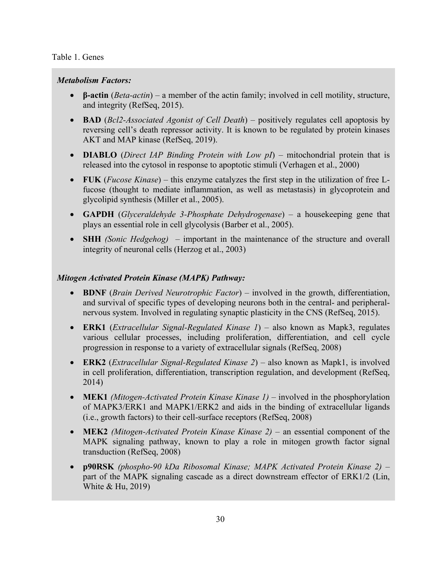#### Table 1. Genes

### *Metabolism Factors:*

- **β-actin** (*Beta-actin*) a member of the actin family; involved in cell motility, structure, and integrity (RefSeq, 2015).
- **BAD** (*Bcl2-Associated Agonist of Cell Death*) positively regulates cell apoptosis by reversing cell's death repressor activity. It is known to be regulated by protein kinases AKT and MAP kinase (RefSeq, 2019).
- **DIABLO** (*Direct IAP Binding Protein with Low pI*) mitochondrial protein that is released into the cytosol in response to apoptotic stimuli (Verhagen et al., 2000)
- **FUK** (*Fucose Kinase*) this enzyme catalyzes the first step in the utilization of free Lfucose (thought to mediate inflammation, as well as metastasis) in glycoprotein and glycolipid synthesis (Miller et al., 2005).
- **GAPDH** (*Glyceraldehyde 3-Phosphate Dehydrogenase*) a housekeeping gene that plays an essential role in cell glycolysis (Barber et al., 2005).
- **SHH** *(Sonic Hedgehog)* important in the maintenance of the structure and overall integrity of neuronal cells (Herzog et al., 2003)

## *Mitogen Activated Protein Kinase (MAPK) Pathway:*

- **BDNF** (*Brain Derived Neurotrophic Factor*) involved in the growth, differentiation, and survival of specific types of developing neurons both in the central- and peripheralnervous system. Involved in regulating synaptic plasticity in the CNS (RefSeq, 2015).
- **ERK1** (*Extracellular Signal-Regulated Kinase 1*) also known as Mapk3, regulates various cellular processes, including proliferation, differentiation, and cell cycle progression in response to a variety of extracellular signals (RefSeq, 2008)
- **ERK2** (*Extracellular Signal-Regulated Kinase 2*) also known as Mapk1, is involved in cell proliferation, differentiation, transcription regulation, and development (RefSeq, 2014)
- **MEK1** *(Mitogen-Activated Protein Kinase Kinase 1)* involved in the phosphorylation of MAPK3/ERK1 and MAPK1/ERK2 and aids in the binding of extracellular ligands (i.e., growth factors) to their cell-surface receptors (RefSeq, 2008)
- **MEK2** *(Mitogen-Activated Protein Kinase Kinase 2)* an essential component of the MAPK signaling pathway, known to play a role in mitogen growth factor signal transduction (RefSeq, 2008)
- **p90RSK** *(phospho-90 kDa Ribosomal Kinase; MAPK Activated Protein Kinase 2)* part of the MAPK signaling cascade as a direct downstream effector of ERK1/2 (Lin, White & Hu, 2019)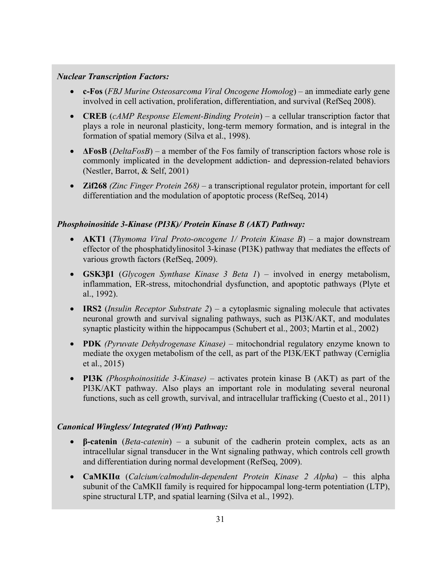### *Nuclear Transcription Factors:*

- **c-Fos** (*FBJ Murine Osteosarcoma Viral Oncogene Homolog*) an immediate early gene involved in cell activation, proliferation, differentiation, and survival (RefSeq 2008).
- **CREB** (*cAMP Response Element-Binding Protein*) a cellular transcription factor that plays a role in neuronal plasticity, long-term memory formation, and is integral in the formation of spatial memory (Silva et al., 1998).
- **ΔFosB** (*DeltaFosB*) a member of the Fos family of transcription factors whose role is commonly implicated in the development addiction- and depression-related behaviors (Nestler, Barrot, & Self, 2001)
- **Zif268** *(Zinc Finger Protein 268)* a transcriptional regulator protein, important for cell differentiation and the modulation of apoptotic process (RefSeq, 2014)

## *Phosphoinositide 3-Kinase (PI3K)/ Protein Kinase B (AKT) Pathway:*

- **AKT1** (*Thymoma Viral Proto-oncogene 1/ Protein Kinase B*) a major downstream effector of the phosphatidylinositol 3-kinase (PI3K) pathway that mediates the effects of various growth factors (RefSeq, 2009).
- **GSK3β1** (*Glycogen Synthase Kinase 3 Beta 1*) involved in energy metabolism, inflammation, ER-stress, mitochondrial dysfunction, and apoptotic pathways (Plyte et al., 1992).
- **IRS2** (*Insulin Receptor Substrate 2*) a cytoplasmic signaling molecule that activates neuronal growth and survival signaling pathways, such as PI3K/AKT, and modulates synaptic plasticity within the hippocampus (Schubert et al., 2003; Martin et al., 2002)
- **PDK** *(Pyruvate Dehydrogenase Kinase)* mitochondrial regulatory enzyme known to mediate the oxygen metabolism of the cell, as part of the PI3K/EKT pathway (Cerniglia et al., 2015)
- **PI3K** *(Phosphoinositide 3-Kinase)* activates protein kinase B (AKT) as part of the PI3K/AKT pathway. Also plays an important role in modulating several neuronal functions, such as cell growth, survival, and intracellular trafficking (Cuesto et al., 2011)

## *Canonical Wingless/ Integrated (Wnt) Pathway:*

•

- **β-catenin** (*Beta-catenin*) a subunit of the cadherin protein complex, acts as an intracellular signal transducer in the Wnt signaling pathway, which controls cell growth and differentiation during normal development (RefSeq, 2009).
- **CaMKIIα** (*Calcium/calmodulin-dependent Protein Kinase 2 Alpha*) this alpha subunit of the CaMKII family is required for hippocampal long-term potentiation (LTP), spine structural LTP, and spatial learning (Silva et al., 1992).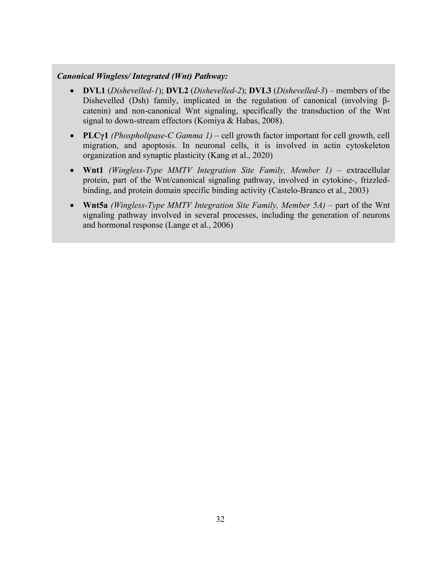#### *Canonical Wingless/ Integrated (Wnt) Pathway:*

- **DVL1** (*Dishevelled-1*); **DVL2** (*Dishevelled-2*); **DVL3** (*Dishevelled-3*) members of the Dishevelled (Dsh) family, implicated in the regulation of canonical (involving βcatenin) and non-canonical Wnt signaling, specifically the transduction of the Wnt signal to down-stream effectors (Komiya & Habas, 2008).
- **PLCγ1** *(Phospholipase-C Gamma 1)* cell growth factor important for cell growth, cell migration, and apoptosis. In neuronal cells, it is involved in actin cytoskeleton organization and synaptic plasticity (Kang et al., 2020)
- **Wnt1** *(Wingless-Type MMTV Integration Site Family, Member 1)*  extracellular protein, part of the Wnt/canonical signaling pathway, involved in cytokine-, frizzledbinding, and protein domain specific binding activity (Castelo-Branco et al., 2003)
- **What** *Wingless-Type MMTV Integration Site Family, Member 5A)* **part of the Wnt** signaling pathway involved in several processes, including the generation of neurons and hormonal response (Lange et al., 2006)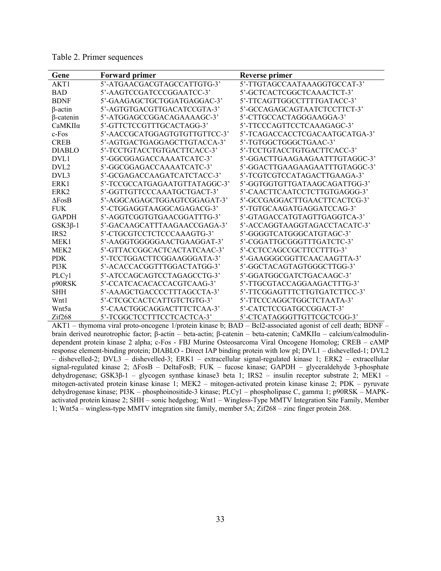| Gene                 | <b>Forward primer</b>         | <b>Reverse primer</b>          |
|----------------------|-------------------------------|--------------------------------|
| AKT1                 | 5'-ATGAACGACGTAGCCATTGTG-3'   | 5'-TTGTAGCCAATAAAGGTGCCAT-3'   |
| <b>BAD</b>           | 5'-AAGTCCGATCCCGGAATCC-3'     | 5'-GCTCACTCGGCTCAAACTCT-3'     |
| <b>BDNF</b>          | 5'-GAAGAGCTGCTGGATGAGGAC-3'   | 5'-TTCAGTTGGCCTTTTGATACC-3'    |
| $\beta$ -actin       | 5'-AGTGTGACGTTGACATCCGTA-3'   | 5'-GCCAGAGCAGTAATCTCCTTCT-3'   |
| $\beta$ -catenin     | 5'-ATGGAGCCGGACAGAAAAGC-3'    | 5'-CTTGCCACTAGGGAAGGA-3'       |
| CaMKIIa              | 5'-GTTCTCCGTTTGCACTAGG-3'     | 5'-TTCCCAGTTCCTCAAAGAGC-3'     |
| $c$ -Fos             | 5'-AACCGCATGGAGTGTGTTGTTCC-3' | 5'-TCAGACCACCTCGACAATGCATGA-3' |
| <b>CREB</b>          | 5'-AGTGACTGAGGAGCTTGTACCA-3'  | 5'-TGTGGCTGGGCTGAAC-3'         |
| <b>DIABLO</b>        | 5'-TCCTGTACCTGTGACTTCACC-3'   | 5'-TCCTGTACCTGTGACTTCACC-3'    |
| DVL1                 | 5'-GGCGGAGACCAAAATCATC-3'     | 5'-GGACTTGAAGAAGAATTTGTAGGC-3' |
| DVL <sub>2</sub>     | 5'-GGCGGAGACCAAAATCATC-3'     | 5'-GGACTTGAAGAAGAATTTGTAGGC-3' |
| DVL3                 | 5'-GCGAGACCAAGATCATCTACC-3'   | 5'-TCGTCGTCCATAGACTTGAAGA-3'   |
| ERK1                 | 5'-TCCGCCATGAGAATGTTATAGGC-3' | 5'-GGTGGTGTTGATAAGCAGATTGG-3'  |
| ERK <sub>2</sub>     | 5'-GGTTGTTCCCAAATGCTGACT-3'   | 5'-CAACTTCAATCCTCTTGTGAGGG-3'  |
| $\triangle F$ os $B$ | 5'-AGGCAGAGCTGGAGTCGGAGAT-3'  | 5'-GCCGAGGACTTGAACTTCACTCG-3'  |
| <b>FUK</b>           | 5'-CTGGAGGTAAGGCAGAGACG-3'    | 5'-TGTGCAAGATGAGGATCCAG-3'     |
| <b>GAPDH</b>         | 5'-AGGTCGGTGTGAACGGATTTG-3'   | 5'-GTAGACCATGTAGTTGAGGTCA-3'   |
| $GSK3\beta-1$        | 5'-GACAAGCATTTAAGAACCGAGA-3'  | 5'-ACCAGGTAAGGTAGACCTACATC-3'  |
| IRS <sub>2</sub>     | 5'-CTGCGTCCTCTCCCAAAGTG-3'    | 5'-GGGGTCATGGGCATGTAGC-3'      |
| MEK1                 | 5'-AAGGTGGGGGAACTGAAGGAT-3'   | 5'-CGGATTGCGGGTTTGATCTC-3'     |
| MEK <sub>2</sub>     | 5'-GTTACCGGCACTCACTATCAAC-3'  | 5'-CCTCCAGCCGCTTCCTTTG-3'      |
| <b>PDK</b>           | 5'-TCCTGGACTTCGGAAGGGATA-3'   | 5'-GAAGGGCGGTTCAACAAGTTA-3'    |
| PI3K                 | 5'-ACACCACGGTTTGGACTATGG-3'   | 5'-GGCTACAGTAGTGGGCTTGG-3'     |
| PLCy1                | 5'-ATCCAGCAGTCCTAGAGCCTG-3'   | 5'-GGATGGCGATCTGACAAGC-3'      |
| p90RSK               | 5'-CCATCACACACCACGTCAAG-3'    | 5'-TTGCGTACCAGGAAGACTTTG-3'    |
| <b>SHH</b>           | 5'-AAAGCTGACCCCTTTAGCCTA-3'   | 5'-TTCGGAGTTTCTTGTGATCTTCC-3'  |
| Wnt1                 | 5'-CTCGCCACTCATTGTCTGTG-3'    | 5'-TTCCCAGGCTGGCTCTAATA-3'     |
| Wnt5a                | 5'-CAACTGGCAGGACTTTCTCAA-3'   | 5'-CATCTCCGATGCCGGACT-3'       |
| Zif268               | 5'-TCGGCTCCTTTCCTCACTCA-3'    | 5'-CTCATAGGGTTGTTCGCTCGG-3'    |

Table 2. Primer sequences

AKT1 – thymoma viral proto-oncogene 1/protein kinase b; BAD – Bcl2-associated agonist of cell death; BDNF – brain derived neurotrophic factor; β-actin – beta-actin; β-catenin – beta-catenin; CaMKIIα – calcium/calmodulindependent protein kinase 2 alpha; c-Fos - FBJ Murine Osteosarcoma Viral Oncogene Homolog; CREB – cAMP response element-binding protein; DIABLO - Direct IAP binding protein with low pI; DVL1 – dishevelled-1; DVL2 – dishevelled-2; DVL3 – dishevelled-3; ERK1 – extracellular signal-regulated kinase 1; ERK2 – extracellular signal-regulated kinase 2; ΔFosB – DeltaFosB; FUK – fucose kinase; GAPDH – glyceraldehyde 3-phosphate dehydrogenase; GSK3β-1 – glycogen synthase kinase3 beta 1; IRS2 – insulin receptor substrate 2; MEK1 – mitogen-activated protein kinase kinase 1; MEK2 – mitogen-activated protein kinase kinase 2; PDK – pyruvate dehydrogenase kinase; PI3K – phosphoinositide-3 kinase; PLCγ1 – phospholipase C, gamma 1; p90RSK – MAPKactivated protein kinase 2; SHH – sonic hedgehog; Wnt1 – Wingless-Type MMTV Integration Site Family, Member 1; Wnt5a – wingless-type MMTV integration site family, member 5A; Zif268 – zinc finger protein 268.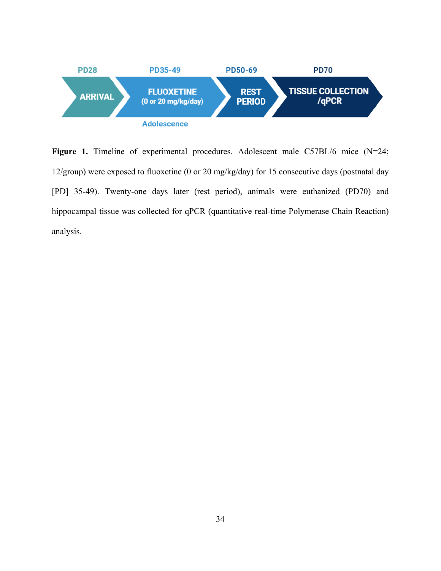

Figure 1. Timeline of experimental procedures. Adolescent male C57BL/6 mice (N=24; 12/group) were exposed to fluoxetine (0 or 20 mg/kg/day) for 15 consecutive days (postnatal day [PD] 35-49). Twenty-one days later (rest period), animals were euthanized (PD70) and hippocampal tissue was collected for qPCR (quantitative real-time Polymerase Chain Reaction) analysis.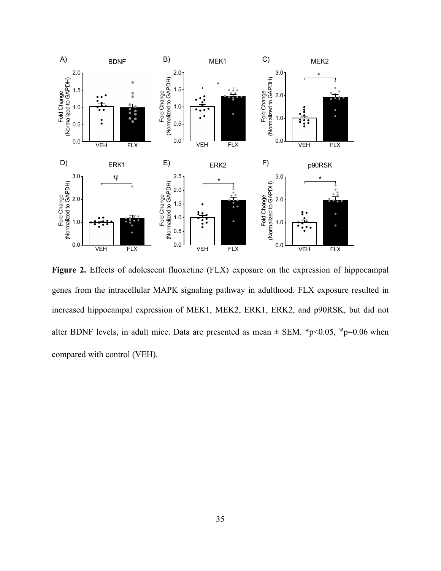

Figure 2. Effects of adolescent fluoxetine (FLX) exposure on the expression of hippocampal genes from the intracellular MAPK signaling pathway in adulthood. FLX exposure resulted in increased hippocampal expression of MEK1, MEK2, ERK1, ERK2, and p90RSK, but did not alter BDNF levels, in adult mice. Data are presented as mean  $\pm$  SEM. \*p<0.05, \*p=0.06 when compared with control (VEH).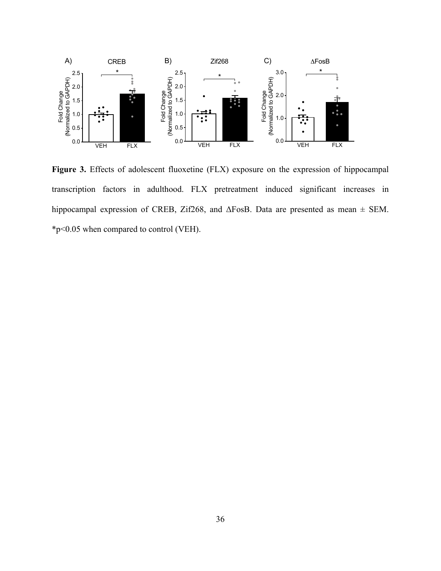

Figure 3. Effects of adolescent fluoxetine (FLX) exposure on the expression of hippocampal transcription factors in adulthood. FLX pretreatment induced significant increases in hippocampal expression of CREB, Zif268, and ΔFosB. Data are presented as mean ± SEM. \*p<0.05 when compared to control (VEH).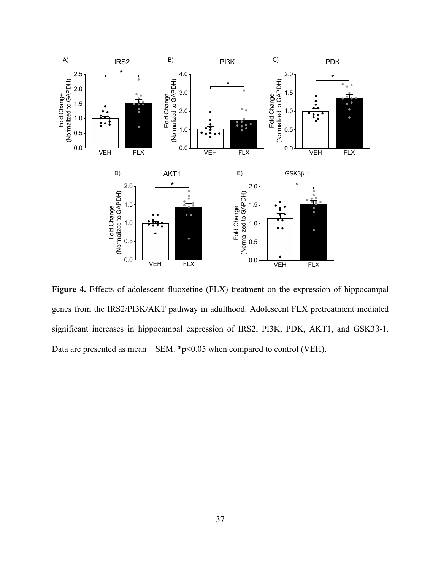

Figure 4. Effects of adolescent fluoxetine (FLX) treatment on the expression of hippocampal genes from the IRS2/PI3K/AKT pathway in adulthood. Adolescent FLX pretreatment mediated significant increases in hippocampal expression of IRS2, PI3K, PDK, AKT1, and GSK3β-1. Data are presented as mean  $\pm$  SEM. \*p<0.05 when compared to control (VEH).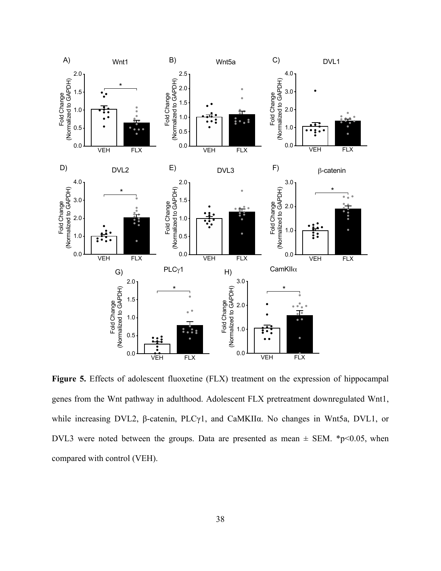

Figure 5. Effects of adolescent fluoxetine (FLX) treatment on the expression of hippocampal genes from the Wnt pathway in adulthood. Adolescent FLX pretreatment downregulated Wnt1, while increasing DVL2, β-catenin, PLCγ1, and CaMKIIα. No changes in Wnt5a, DVL1, or DVL3 were noted between the groups. Data are presented as mean  $\pm$  SEM. \*p<0.05, when compared with control (VEH).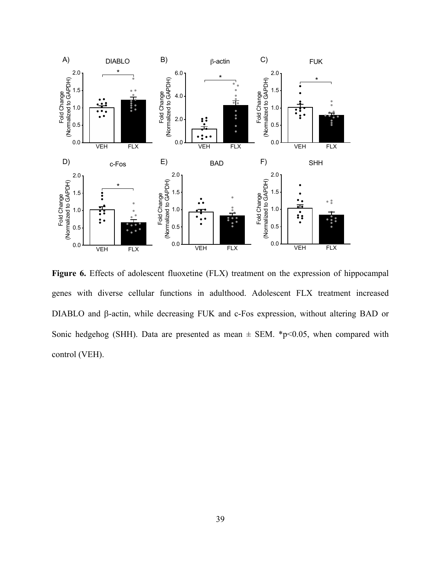

Figure 6. Effects of adolescent fluoxetine (FLX) treatment on the expression of hippocampal genes with diverse cellular functions in adulthood. Adolescent FLX treatment increased DIABLO and β-actin, while decreasing FUK and c-Fos expression, without altering BAD or Sonic hedgehog (SHH). Data are presented as mean  $\pm$  SEM. \*p<0.05, when compared with control (VEH).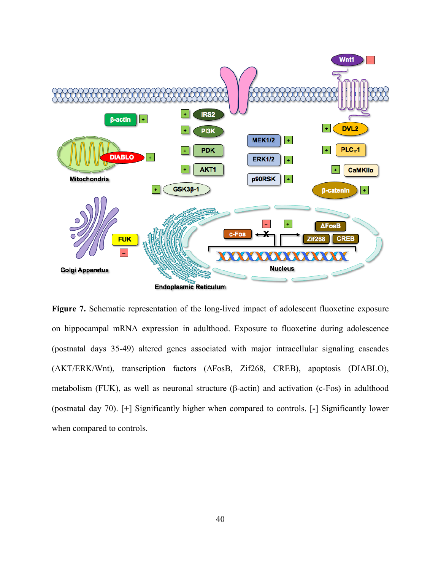

**Figure 7.** Schematic representation of the long-lived impact of adolescent fluoxetine exposure on hippocampal mRNA expression in adulthood. Exposure to fluoxetine during adolescence (postnatal days 35-49) altered genes associated with major intracellular signaling cascades (AKT/ERK/Wnt), transcription factors (ΔFosB, Zif268, CREB), apoptosis (DIABLO), metabolism (FUK), as well as neuronal structure (β-actin) and activation (c-Fos) in adulthood (postnatal day 70). [**+**] Significantly higher when compared to controls. [**-**] Significantly lower when compared to controls.